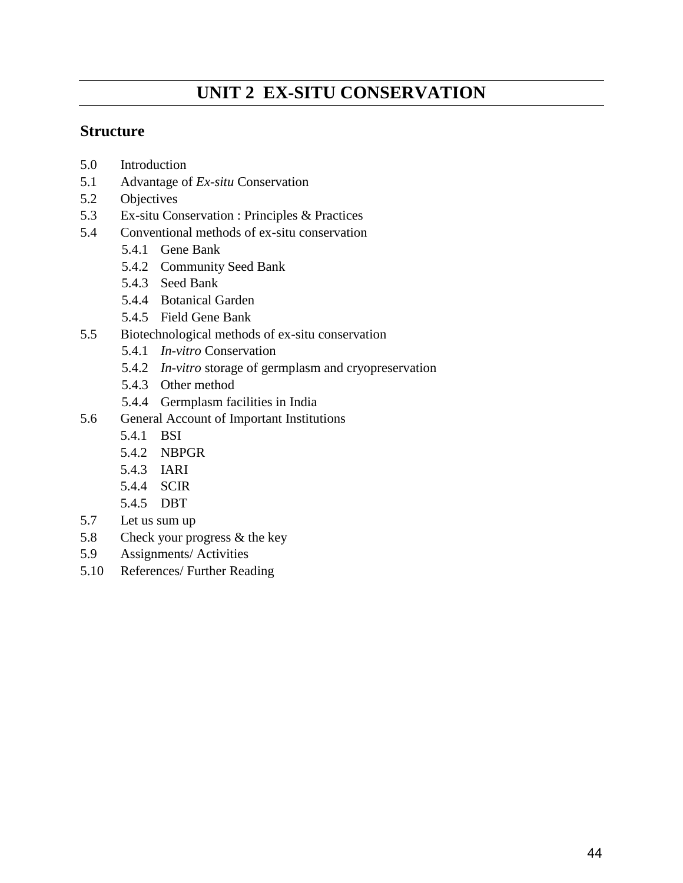# **UNIT 2 EX-SITU CONSERVATION**

### **Structure**

- 5.0 Introduction
- 5.1 Advantage of *Ex-situ* Conservation
- 5.2 Objectives
- 5.3 Ex-situ Conservation : Principles & Practices
- 5.4 Conventional methods of ex-situ conservation
	- 5.4.1 Gene Bank
	- 5.4.2 Community Seed Bank
	- 5.4.3 Seed Bank
	- 5.4.4 Botanical Garden
	- 5.4.5 Field Gene Bank
- 5.5 Biotechnological methods of ex-situ conservation
	- 5.4.1 *In-vitro* Conservation
	- 5.4.2 *In-vitro* storage of germplasm and cryopreservation
	- 5.4.3 Other method
	- 5.4.4 Germplasm facilities in India
- 5.6 General Account of Important Institutions
	- 5.4.1 BSI
	- 5.4.2 NBPGR
	- 5.4.3 IARI
	- 5.4.4 SCIR
	- 5.4.5 DBT
- 5.7 Let us sum up
- 5.8 Check your progress & the key
- 5.9 Assignments/ Activities
- 5.10 References/ Further Reading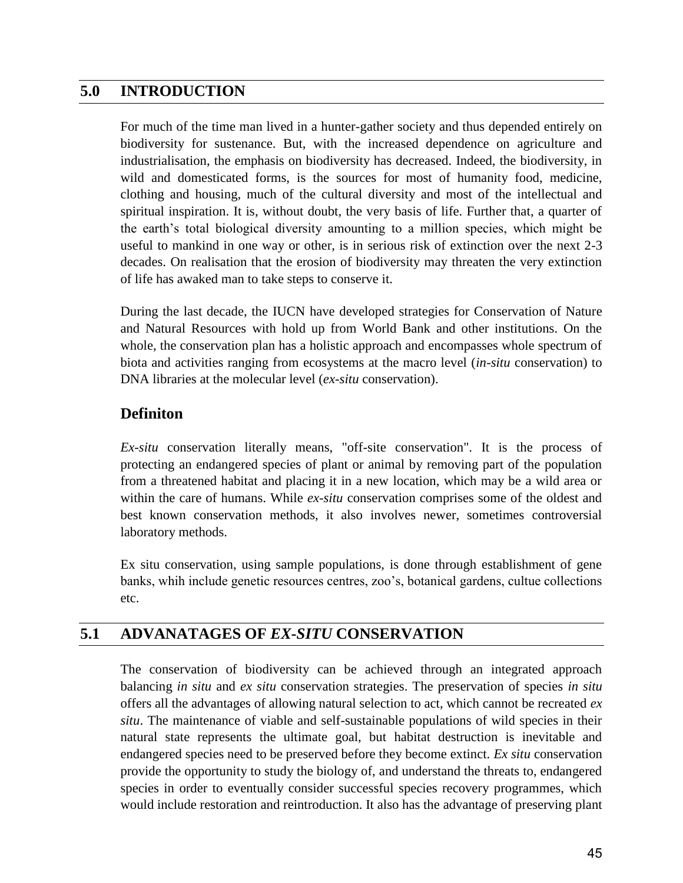## **5.0 INTRODUCTION**

For much of the time man lived in a hunter-gather society and thus depended entirely on biodiversity for sustenance. But, with the increased dependence on agriculture and industrialisation, the emphasis on biodiversity has decreased. Indeed, the biodiversity, in wild and domesticated forms, is the sources for most of humanity food, medicine, clothing and housing, much of the cultural diversity and most of the intellectual and spiritual inspiration. It is, without doubt, the very basis of life. Further that, a quarter of the earth"s total biological diversity amounting to a million species, which might be useful to mankind in one way or other, is in serious risk of extinction over the next 2-3 decades. On realisation that the erosion of biodiversity may threaten the very extinction of life has awaked man to take steps to conserve it.

During the last decade, the IUCN have developed strategies for Conservation of Nature and Natural Resources with hold up from World Bank and other institutions. On the whole, the conservation plan has a holistic approach and encompasses whole spectrum of biota and activities ranging from ecosystems at the macro level (*in-situ* conservation) to DNA libraries at the molecular level (*ex-situ* conservation).

## **Definiton**

*Ex-situ* conservation literally means, "off-site conservation". It is the process of protecting an endangered species of plant or animal by removing part of the population from a threatened habitat and placing it in a new location, which may be a wild area or within the care of humans. While *ex-situ* conservation comprises some of the oldest and best known conservation methods, it also involves newer, sometimes controversial laboratory methods.

Ex situ conservation, using sample populations, is done through establishment of gene banks, whih include genetic resources centres, zoo"s, botanical gardens, cultue collections etc.

## **5.1 ADVANATAGES OF** *EX-SITU* **CONSERVATION**

The conservation of biodiversity can be achieved through an integrated approach balancing *in situ* and *ex situ* conservation strategies. The preservation of species *in situ* offers all the advantages of allowing natural selection to act, which cannot be recreated *ex situ*. The maintenance of viable and self-sustainable populations of wild species in their natural state represents the ultimate goal, but habitat destruction is inevitable and endangered species need to be preserved before they become extinct. *Ex situ* conservation provide the opportunity to study the biology of, and understand the threats to, endangered species in order to eventually consider successful species recovery programmes, which would include restoration and reintroduction. It also has the advantage of preserving plant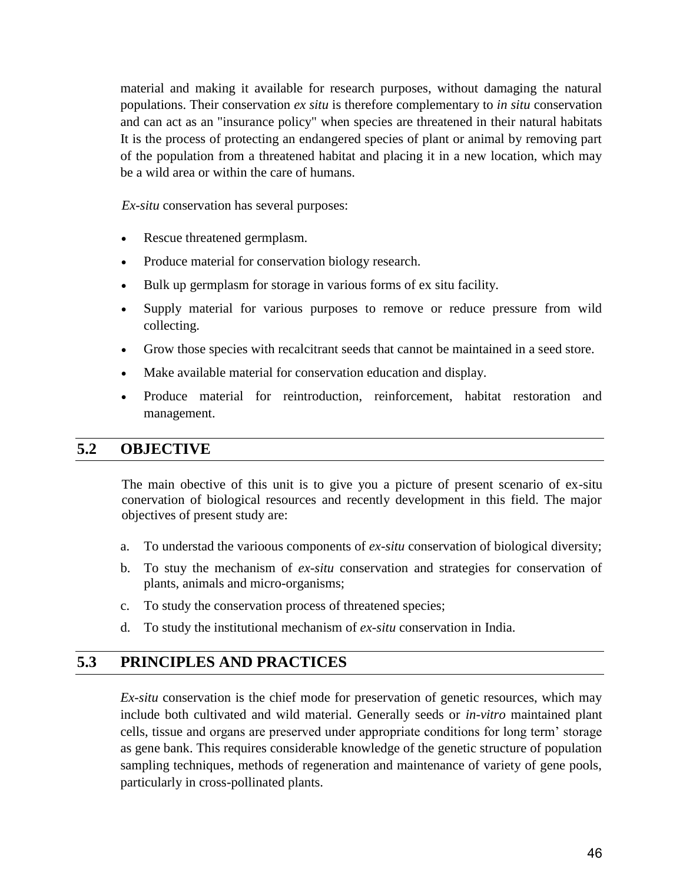material and making it available for research purposes, without damaging the natural populations. Their conservation *ex situ* is therefore complementary to *in situ* conservation and can act as an "insurance policy" when species are threatened in their natural habitats It is the process of protecting an endangered species of plant or animal by removing part of the population from a threatened habitat and placing it in a new location, which may be a wild area or within the care of humans.

*Ex-situ* conservation has several purposes:

- Rescue threatened germplasm.
- Produce material for conservation biology research.
- Bulk up germplasm for storage in various forms of ex situ facility.
- Supply material for various purposes to remove or reduce pressure from wild collecting.
- Grow those species with recalcitrant seeds that cannot be maintained in a seed store.
- Make available material for conservation education and display.
- Produce material for reintroduction, reinforcement, habitat restoration and management.

### **5.2 OBJECTIVE**

The main obective of this unit is to give you a picture of present scenario of ex-situ conervation of biological resources and recently development in this field. The major objectives of present study are:

- a. To understad the varioous components of *ex-situ* conservation of biological diversity;
- b. To stuy the mechanism of *ex-situ* conservation and strategies for conservation of plants, animals and micro-organisms;
- c. To study the conservation process of threatened species;
- d. To study the institutional mechanism of *ex-situ* conservation in India.

## **5.3 PRINCIPLES AND PRACTICES**

*Ex-situ* conservation is the chief mode for preservation of genetic resources, which may include both cultivated and wild material. Generally seeds or *in-vitro* maintained plant cells, tissue and organs are preserved under appropriate conditions for long term" storage as gene bank. This requires considerable knowledge of the genetic structure of population sampling techniques, methods of regeneration and maintenance of variety of gene pools, particularly in cross-pollinated plants.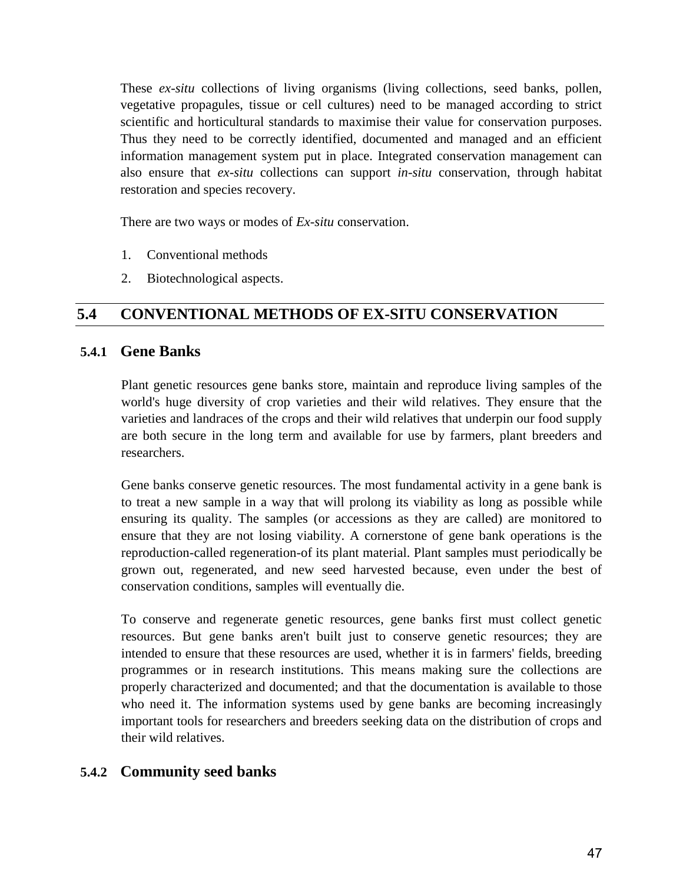These *ex-situ* collections of living organisms (living collections, seed banks, pollen, vegetative propagules, tissue or cell cultures) need to be managed according to strict scientific and horticultural standards to maximise their value for conservation purposes. Thus they need to be correctly identified, documented and managed and an efficient information management system put in place. Integrated conservation management can also ensure that *ex-situ* collections can support *in-situ* conservation, through habitat restoration and species recovery.

There are two ways or modes of *Ex-situ* conservation.

- 1. Conventional methods
- 2. Biotechnological aspects.

## **5.4 CONVENTIONAL METHODS OF EX-SITU CONSERVATION**

### **5.4.1 Gene Banks**

Plant genetic resources gene banks store, maintain and reproduce living samples of the world's huge diversity of crop varieties and their wild relatives. They ensure that the varieties and landraces of the crops and their wild relatives that underpin our food supply are both secure in the long term and available for use by farmers, plant breeders and researchers.

Gene banks conserve genetic resources. The most fundamental activity in a gene bank is to treat a new sample in a way that will prolong its viability as long as possible while ensuring its quality. The samples (or accessions as they are called) are monitored to ensure that they are not losing viability. A cornerstone of gene bank operations is the reproduction-called regeneration-of its plant material. Plant samples must periodically be grown out, regenerated, and new seed harvested because, even under the best of conservation conditions, samples will eventually die.

To conserve and regenerate genetic resources, gene banks first must collect genetic resources. But gene banks aren't built just to conserve genetic resources; they are intended to ensure that these resources are used, whether it is in farmers' fields, breeding programmes or in research institutions. This means making sure the collections are properly characterized and documented; and that the documentation is available to those who need it. The information systems used by gene banks are becoming increasingly important tools for researchers and breeders seeking data on the distribution of crops and their wild relatives.

## **5.4.2 Community seed banks**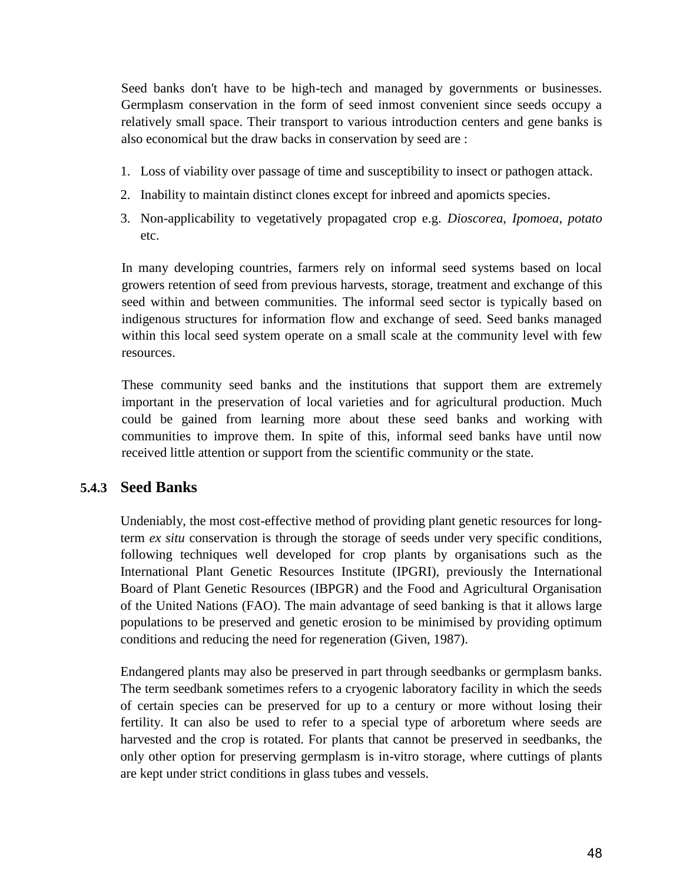Seed banks don't have to be high-tech and managed by governments or businesses. Germplasm conservation in the form of seed inmost convenient since seeds occupy a relatively small space. Their transport to various introduction centers and gene banks is also economical but the draw backs in conservation by seed are :

- 1. Loss of viability over passage of time and susceptibility to insect or pathogen attack.
- 2. Inability to maintain distinct clones except for inbreed and apomicts species.
- 3. Non-applicability to vegetatively propagated crop e.g. *Dioscorea*, *Ipomoea*, *potato* etc.

In many developing countries, farmers rely on informal seed systems based on local growers retention of seed from previous harvests, storage, treatment and exchange of this seed within and between communities. The informal seed sector is typically based on indigenous structures for information flow and exchange of seed. Seed banks managed within this local seed system operate on a small scale at the community level with few resources.

These community seed banks and the institutions that support them are extremely important in the preservation of local varieties and for agricultural production. Much could be gained from learning more about these seed banks and working with communities to improve them. In spite of this, informal seed banks have until now received little attention or support from the scientific community or the state.

### **5.4.3 Seed Banks**

Undeniably, the most cost-effective method of providing plant genetic resources for longterm *ex situ* conservation is through the storage of seeds under very specific conditions, following techniques well developed for crop plants by organisations such as the International Plant Genetic Resources Institute (IPGRI), previously the International Board of Plant Genetic Resources (IBPGR) and the Food and Agricultural Organisation of the United Nations (FAO). The main advantage of seed banking is that it allows large populations to be preserved and genetic erosion to be minimised by providing optimum conditions and reducing the need for regeneration (Given, 1987).

Endangered plants may also be preserved in part through seedbanks or germplasm banks. The term seedbank sometimes refers to a cryogenic laboratory facility in which the seeds of certain species can be preserved for up to a century or more without losing their fertility. It can also be used to refer to a special type of arboretum where seeds are harvested and the crop is rotated. For plants that cannot be preserved in seedbanks, the only other option for preserving germplasm is in-vitro storage, where cuttings of plants are kept under strict conditions in glass tubes and vessels.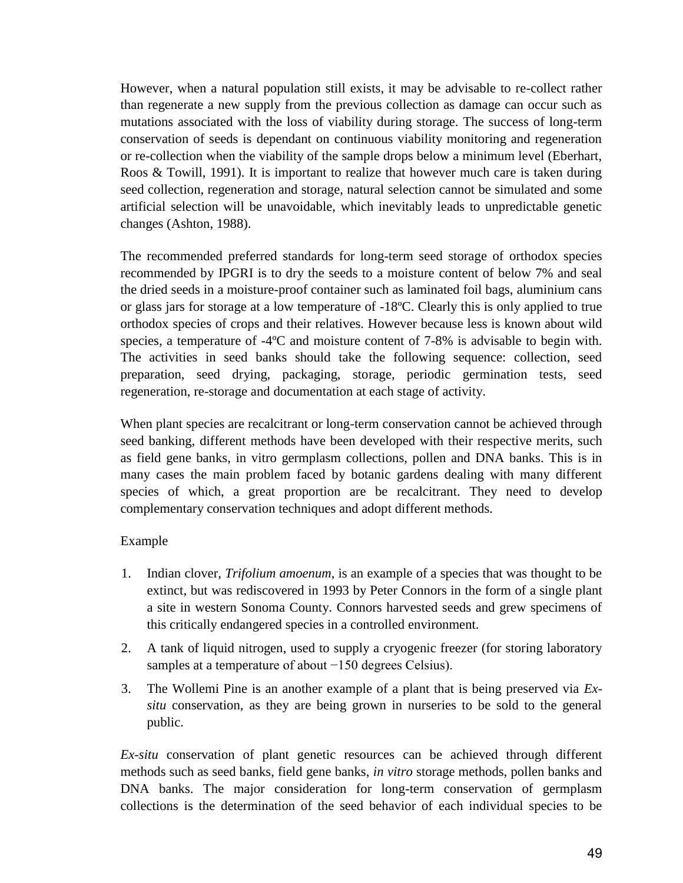However, when a natural population still exists, it may be advisable to re-collect rather than regenerate a new supply from the previous collection as damage can occur such as mutations associated with the loss of viability during storage. The success of long-term conservation of seeds is dependant on continuous viability monitoring and regeneration or re-collection when the viability of the sample drops below a minimum level (Eberhart, Roos & Towill, 1991). It is important to realize that however much care is taken during seed collection, regeneration and storage, natural selection cannot be simulated and some artificial selection will be unavoidable, which inevitably leads to unpredictable genetic changes (Ashton, 1988).

The recommended preferred standards for long-term seed storage of orthodox species recommended by IPGRI is to dry the seeds to a moisture content of below 7% and seal the dried seeds in a moisture-proof container such as laminated foil bags, aluminium cans or glass jars for storage at a low temperature of -18ºC. Clearly this is only applied to true orthodox species of crops and their relatives. However because less is known about wild species, a temperature of -4ºC and moisture content of 7-8% is advisable to begin with. The activities in seed banks should take the following sequence: collection, seed preparation, seed drying, packaging, storage, periodic germination tests, seed regeneration, re-storage and documentation at each stage of activity.

When plant species are recalcitrant or long-term conservation cannot be achieved through seed banking, different methods have been developed with their respective merits, such as field gene banks, in vitro germplasm collections, pollen and DNA banks. This is in many cases the main problem faced by botanic gardens dealing with many different species of which, a great proportion are be recalcitrant. They need to develop complementary conservation techniques and adopt different methods.

#### Example

- 1. Indian clover, *Trifolium amoenum*, is an example of a species that was thought to be extinct, but was rediscovered in 1993 by Peter Connors in the form of a single plant a site in western Sonoma County. Connors harvested seeds and grew specimens of this critically endangered species in a controlled environment.
- 2. A tank of liquid nitrogen, used to supply a cryogenic freezer (for storing laboratory samples at a temperature of about −150 degrees Celsius).
- 3. The Wollemi Pine is an another example of a plant that is being preserved via *Exsitu* conservation, as they are being grown in nurseries to be sold to the general public.

*Ex-situ* conservation of plant genetic resources can be achieved through different methods such as seed banks, field gene banks, *in vitro* storage methods, pollen banks and DNA banks. The major consideration for long-term conservation of germplasm collections is the determination of the seed behavior of each individual species to be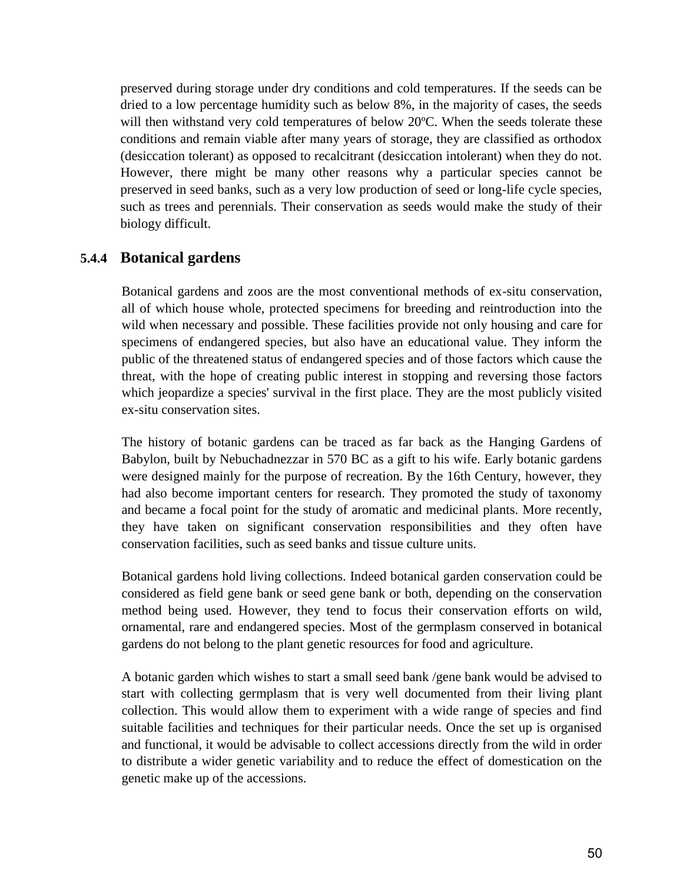preserved during storage under dry conditions and cold temperatures. If the seeds can be dried to a low percentage humidity such as below 8%, in the majority of cases, the seeds will then withstand very cold temperatures of below 20°C. When the seeds tolerate these conditions and remain viable after many years of storage, they are classified as orthodox (desiccation tolerant) as opposed to recalcitrant (desiccation intolerant) when they do not. However, there might be many other reasons why a particular species cannot be preserved in seed banks, such as a very low production of seed or long-life cycle species, such as trees and perennials. Their conservation as seeds would make the study of their biology difficult.

### **5.4.4 Botanical gardens**

Botanical gardens and zoos are the most conventional methods of ex-situ conservation, all of which house whole, protected specimens for breeding and reintroduction into the wild when necessary and possible. These facilities provide not only housing and care for specimens of endangered species, but also have an educational value. They inform the public of the threatened status of endangered species and of those factors which cause the threat, with the hope of creating public interest in stopping and reversing those factors which jeopardize a species' survival in the first place. They are the most publicly visited ex-situ conservation sites.

The history of botanic gardens can be traced as far back as the Hanging Gardens of Babylon, built by Nebuchadnezzar in 570 BC as a gift to his wife. Early botanic gardens were designed mainly for the purpose of recreation. By the 16th Century, however, they had also become important centers for research. They promoted the study of taxonomy and became a focal point for the study of aromatic and medicinal plants. More recently, they have taken on significant conservation responsibilities and they often have conservation facilities, such as seed banks and tissue culture units.

Botanical gardens hold living collections. Indeed botanical garden conservation could be considered as field gene bank or seed gene bank or both, depending on the conservation method being used. However, they tend to focus their conservation efforts on wild, ornamental, rare and endangered species. Most of the germplasm conserved in botanical gardens do not belong to the plant genetic resources for food and agriculture.

A botanic garden which wishes to start a small seed bank /gene bank would be advised to start with collecting germplasm that is very well documented from their living plant collection. This would allow them to experiment with a wide range of species and find suitable facilities and techniques for their particular needs. Once the set up is organised and functional, it would be advisable to collect accessions directly from the wild in order to distribute a wider genetic variability and to reduce the effect of domestication on the genetic make up of the accessions.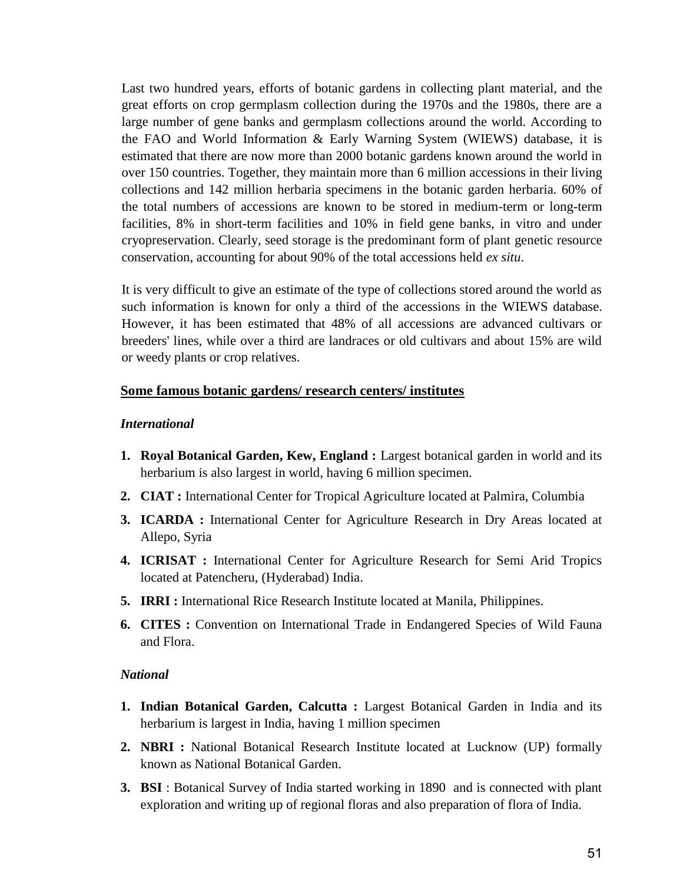Last two hundred years, efforts of botanic gardens in collecting plant material, and the great efforts on crop germplasm collection during the 1970s and the 1980s, there are a large number of gene banks and germplasm collections around the world. According to the FAO and World Information & Early Warning System (WIEWS) database, it is estimated that there are now more than 2000 botanic gardens known around the world in over 150 countries. Together, they maintain more than 6 million accessions in their living collections and 142 million herbaria specimens in the botanic garden herbaria. 60% of the total numbers of accessions are known to be stored in medium-term or long-term facilities, 8% in short-term facilities and 10% in field gene banks, in vitro and under cryopreservation. Clearly, seed storage is the predominant form of plant genetic resource conservation, accounting for about 90% of the total accessions held *ex situ*.

It is very difficult to give an estimate of the type of collections stored around the world as such information is known for only a third of the accessions in the WIEWS database. However, it has been estimated that 48% of all accessions are advanced cultivars or breeders' lines, while over a third are landraces or old cultivars and about 15% are wild or weedy plants or crop relatives.

#### **Some famous botanic gardens/ research centers/ institutes**

#### *International*

- **1. Royal Botanical Garden, Kew, England :** Largest botanical garden in world and its herbarium is also largest in world, having 6 million specimen.
- **2. CIAT :** International Center for Tropical Agriculture located at Palmira, Columbia
- **3. ICARDA :** International Center for Agriculture Research in Dry Areas located at Allepo, Syria
- **4. ICRISAT :** International Center for Agriculture Research for Semi Arid Tropics located at Patencheru, (Hyderabad) India.
- **5. IRRI :** International Rice Research Institute located at Manila, Philippines.
- **6. CITES :** Convention on International Trade in Endangered Species of Wild Fauna and Flora.

#### *National*

- **1. Indian Botanical Garden, Calcutta :** Largest Botanical Garden in India and its herbarium is largest in India, having 1 million specimen
- **2. NBRI :** National Botanical Research Institute located at Lucknow (UP) formally known as National Botanical Garden.
- **3. BSI** : Botanical Survey of India started working in 1890 and is connected with plant exploration and writing up of regional floras and also preparation of flora of India.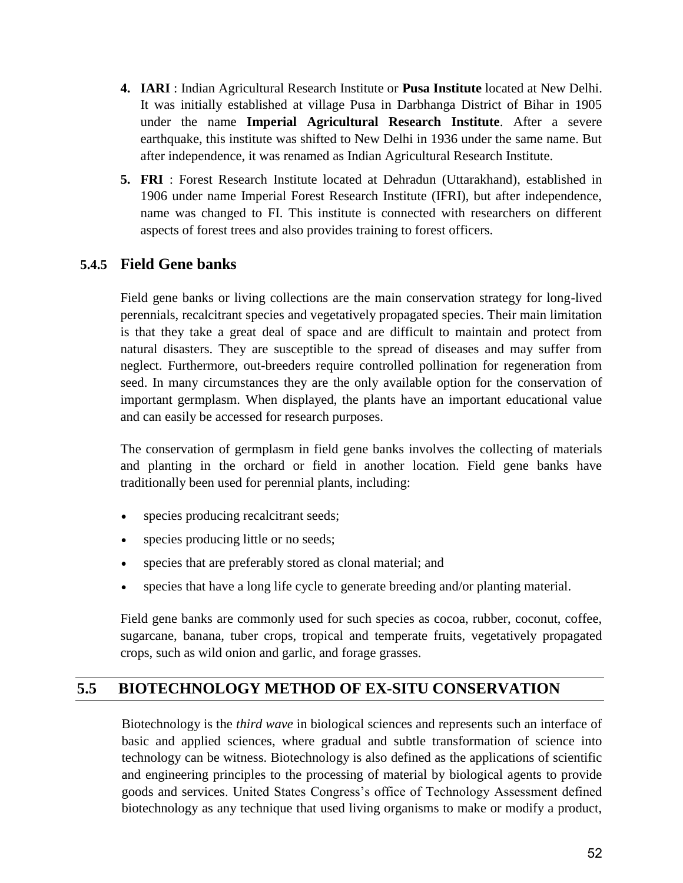- **4. IARI** : Indian Agricultural Research Institute or **Pusa Institute** located at New Delhi. It was initially established at village Pusa in Darbhanga District of Bihar in 1905 under the name **Imperial Agricultural Research Institute**. After a severe earthquake, this institute was shifted to New Delhi in 1936 under the same name. But after independence, it was renamed as Indian Agricultural Research Institute.
- **5. FRI** : Forest Research Institute located at Dehradun (Uttarakhand), established in 1906 under name Imperial Forest Research Institute (IFRI), but after independence, name was changed to FI. This institute is connected with researchers on different aspects of forest trees and also provides training to forest officers.

## **5.4.5 Field Gene banks**

Field gene banks or living collections are the main conservation strategy for long-lived perennials, recalcitrant species and vegetatively propagated species. Their main limitation is that they take a great deal of space and are difficult to maintain and protect from natural disasters. They are susceptible to the spread of diseases and may suffer from neglect. Furthermore, out-breeders require controlled pollination for regeneration from seed. In many circumstances they are the only available option for the conservation of important germplasm. When displayed, the plants have an important educational value and can easily be accessed for research purposes.

The conservation of germplasm in field gene banks involves the collecting of materials and planting in the orchard or field in another location. Field gene banks have traditionally been used for perennial plants, including:

- species producing recalcitrant seeds;
- species producing little or no seeds;
- species that are preferably stored as clonal material; and
- species that have a long life cycle to generate breeding and/or planting material.

Field gene banks are commonly used for such species as cocoa, rubber, coconut, coffee, sugarcane, banana, tuber crops, tropical and temperate fruits, vegetatively propagated crops, such as wild onion and garlic, and forage grasses.

## **5.5 BIOTECHNOLOGY METHOD OF EX-SITU CONSERVATION**

Biotechnology is the *third wave* in biological sciences and represents such an interface of basic and applied sciences, where gradual and subtle transformation of science into technology can be witness. Biotechnology is also defined as the applications of scientific and engineering principles to the processing of material by biological agents to provide goods and services. United States Congress"s office of Technology Assessment defined biotechnology as any technique that used living organisms to make or modify a product,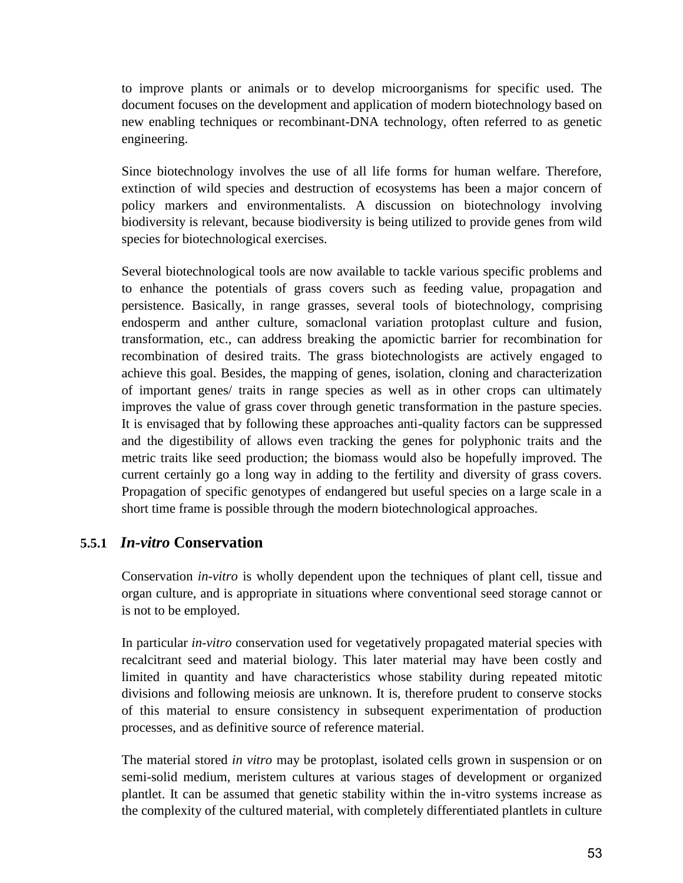to improve plants or animals or to develop microorganisms for specific used. The document focuses on the development and application of modern biotechnology based on new enabling techniques or recombinant-DNA technology, often referred to as genetic engineering.

Since biotechnology involves the use of all life forms for human welfare. Therefore, extinction of wild species and destruction of ecosystems has been a major concern of policy markers and environmentalists. A discussion on biotechnology involving biodiversity is relevant, because biodiversity is being utilized to provide genes from wild species for biotechnological exercises.

Several biotechnological tools are now available to tackle various specific problems and to enhance the potentials of grass covers such as feeding value, propagation and persistence. Basically, in range grasses, several tools of biotechnology, comprising endosperm and anther culture, somaclonal variation protoplast culture and fusion, transformation, etc., can address breaking the apomictic barrier for recombination for recombination of desired traits. The grass biotechnologists are actively engaged to achieve this goal. Besides, the mapping of genes, isolation, cloning and characterization of important genes/ traits in range species as well as in other crops can ultimately improves the value of grass cover through genetic transformation in the pasture species. It is envisaged that by following these approaches anti-quality factors can be suppressed and the digestibility of allows even tracking the genes for polyphonic traits and the metric traits like seed production; the biomass would also be hopefully improved. The current certainly go a long way in adding to the fertility and diversity of grass covers. Propagation of specific genotypes of endangered but useful species on a large scale in a short time frame is possible through the modern biotechnological approaches.

#### **5.5.1** *In-vitro* **Conservation**

Conservation *in-vitro* is wholly dependent upon the techniques of plant cell, tissue and organ culture, and is appropriate in situations where conventional seed storage cannot or is not to be employed.

In particular *in-vitro* conservation used for vegetatively propagated material species with recalcitrant seed and material biology. This later material may have been costly and limited in quantity and have characteristics whose stability during repeated mitotic divisions and following meiosis are unknown. It is, therefore prudent to conserve stocks of this material to ensure consistency in subsequent experimentation of production processes, and as definitive source of reference material.

The material stored *in vitro* may be protoplast, isolated cells grown in suspension or on semi-solid medium, meristem cultures at various stages of development or organized plantlet. It can be assumed that genetic stability within the in-vitro systems increase as the complexity of the cultured material, with completely differentiated plantlets in culture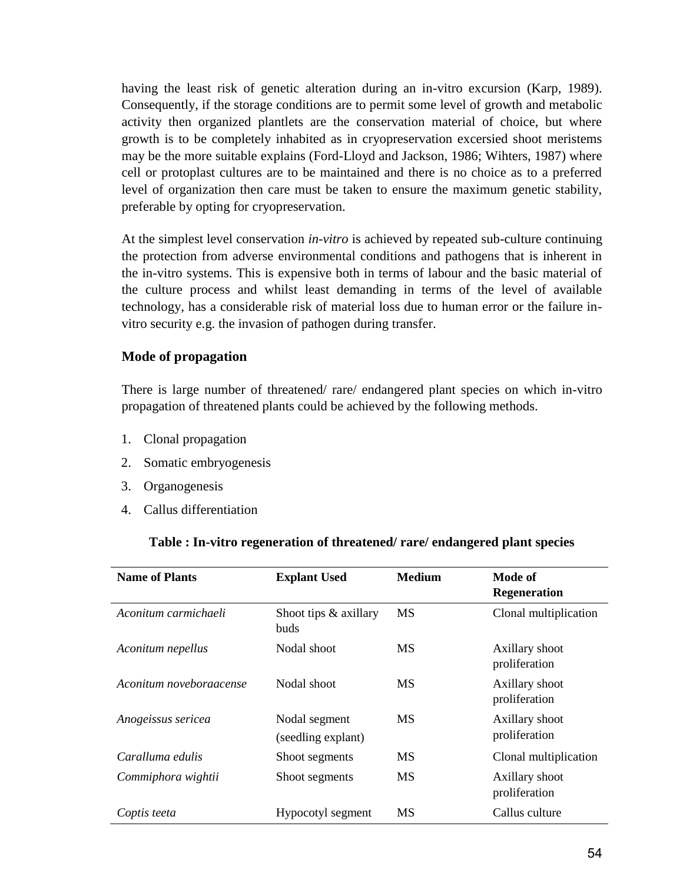having the least risk of genetic alteration during an in-vitro excursion (Karp, 1989). Consequently, if the storage conditions are to permit some level of growth and metabolic activity then organized plantlets are the conservation material of choice, but where growth is to be completely inhabited as in cryopreservation excersied shoot meristems may be the more suitable explains (Ford-Lloyd and Jackson, 1986; Wihters, 1987) where cell or protoplast cultures are to be maintained and there is no choice as to a preferred level of organization then care must be taken to ensure the maximum genetic stability, preferable by opting for cryopreservation.

At the simplest level conservation *in-vitro* is achieved by repeated sub-culture continuing the protection from adverse environmental conditions and pathogens that is inherent in the in-vitro systems. This is expensive both in terms of labour and the basic material of the culture process and whilst least demanding in terms of the level of available technology, has a considerable risk of material loss due to human error or the failure invitro security e.g. the invasion of pathogen during transfer.

#### **Mode of propagation**

There is large number of threatened/ rare/ endangered plant species on which in-vitro propagation of threatened plants could be achieved by the following methods.

- 1. Clonal propagation
- 2. Somatic embryogenesis
- 3. Organogenesis
- 4. Callus differentiation

#### **Table : In-vitro regeneration of threatened/ rare/ endangered plant species**

| <b>Name of Plants</b>   | <b>Explant Used</b>                 | <b>Medium</b> | Mode of<br><b>Regeneration</b>  |
|-------------------------|-------------------------------------|---------------|---------------------------------|
| Aconitum carmichaeli    | Shoot tips & axillary<br>buds       | <b>MS</b>     | Clonal multiplication           |
| Aconitum nepellus       | Nodal shoot                         | <b>MS</b>     | Axillary shoot<br>proliferation |
| Aconitum noveboraacense | Nodal shoot                         | <b>MS</b>     | Axillary shoot<br>proliferation |
| Anogeissus sericea      | Nodal segment<br>(seedling explant) | MS            | Axillary shoot<br>proliferation |
| Caralluma edulis        | Shoot segments                      | MS            | Clonal multiplication           |
| Commiphora wightii      | Shoot segments                      | MS            | Axillary shoot<br>proliferation |
| Coptis teeta            | Hypocotyl segment                   | MS            | Callus culture                  |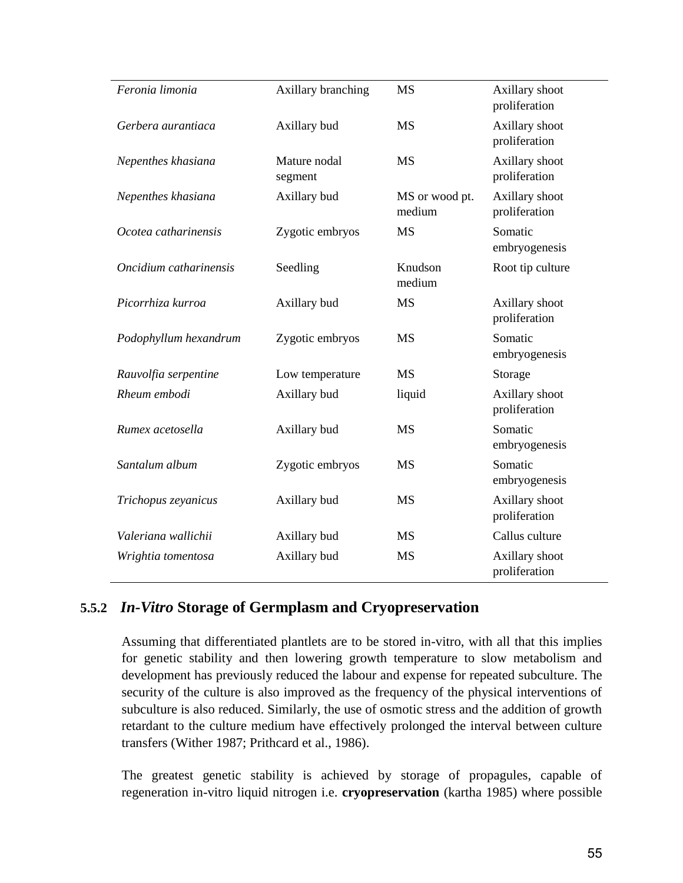| Feronia limonia        | Axillary branching      | <b>MS</b>                | Axillary shoot<br>proliferation |
|------------------------|-------------------------|--------------------------|---------------------------------|
| Gerbera aurantiaca     | Axillary bud            | <b>MS</b>                | Axillary shoot<br>proliferation |
| Nepenthes khasiana     | Mature nodal<br>segment | <b>MS</b>                | Axillary shoot<br>proliferation |
| Nepenthes khasiana     | Axillary bud            | MS or wood pt.<br>medium | Axillary shoot<br>proliferation |
| Ocotea catharinensis   | Zygotic embryos         | <b>MS</b>                | Somatic<br>embryogenesis        |
| Oncidium catharinensis | Seedling                | Knudson<br>medium        | Root tip culture                |
| Picorrhiza kurroa      | Axillary bud            | <b>MS</b>                | Axillary shoot<br>proliferation |
| Podophyllum hexandrum  | Zygotic embryos         | <b>MS</b>                | Somatic<br>embryogenesis        |
| Rauvolfia serpentine   | Low temperature         | <b>MS</b>                | Storage                         |
| Rheum embodi           | Axillary bud            | liquid                   | Axillary shoot<br>proliferation |
| Rumex acetosella       | Axillary bud            | <b>MS</b>                | Somatic<br>embryogenesis        |
| Santalum album         | Zygotic embryos         | <b>MS</b>                | Somatic<br>embryogenesis        |
| Trichopus zeyanicus    | Axillary bud            | <b>MS</b>                | Axillary shoot<br>proliferation |
| Valeriana wallichii    | Axillary bud            | <b>MS</b>                | Callus culture                  |
| Wrightia tomentosa     | Axillary bud            | <b>MS</b>                | Axillary shoot<br>proliferation |

### **5.5.2** *In-Vitro* **Storage of Germplasm and Cryopreservation**

Assuming that differentiated plantlets are to be stored in-vitro, with all that this implies for genetic stability and then lowering growth temperature to slow metabolism and development has previously reduced the labour and expense for repeated subculture. The security of the culture is also improved as the frequency of the physical interventions of subculture is also reduced. Similarly, the use of osmotic stress and the addition of growth retardant to the culture medium have effectively prolonged the interval between culture transfers (Wither 1987; Prithcard et al., 1986).

The greatest genetic stability is achieved by storage of propagules, capable of regeneration in-vitro liquid nitrogen i.e. **cryopreservation** (kartha 1985) where possible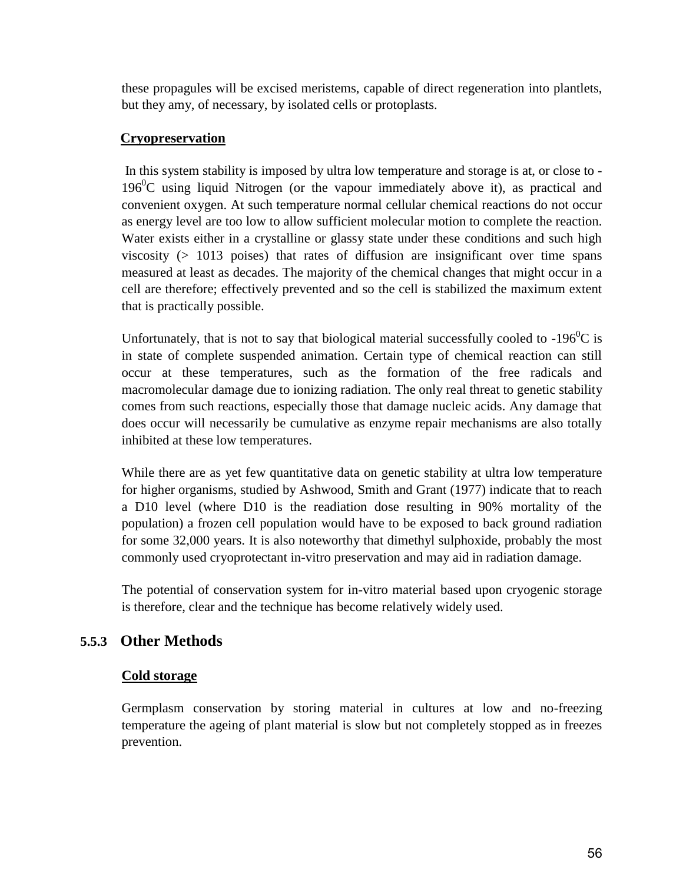these propagules will be excised meristems, capable of direct regeneration into plantlets, but they amy, of necessary, by isolated cells or protoplasts.

### **Cryopreservation**

In this system stability is imposed by ultra low temperature and storage is at, or close to -  $196^{\circ}$ C using liquid Nitrogen (or the vapour immediately above it), as practical and convenient oxygen. At such temperature normal cellular chemical reactions do not occur as energy level are too low to allow sufficient molecular motion to complete the reaction. Water exists either in a crystalline or glassy state under these conditions and such high viscosity  $(> 1013)$  poises) that rates of diffusion are insignificant over time spans measured at least as decades. The majority of the chemical changes that might occur in a cell are therefore; effectively prevented and so the cell is stabilized the maximum extent that is practically possible.

Unfortunately, that is not to say that biological material successfully cooled to  $-196^{\circ}$ C is in state of complete suspended animation. Certain type of chemical reaction can still occur at these temperatures, such as the formation of the free radicals and macromolecular damage due to ionizing radiation. The only real threat to genetic stability comes from such reactions, especially those that damage nucleic acids. Any damage that does occur will necessarily be cumulative as enzyme repair mechanisms are also totally inhibited at these low temperatures.

While there are as yet few quantitative data on genetic stability at ultra low temperature for higher organisms, studied by Ashwood, Smith and Grant (1977) indicate that to reach a D10 level (where D10 is the readiation dose resulting in 90% mortality of the population) a frozen cell population would have to be exposed to back ground radiation for some 32,000 years. It is also noteworthy that dimethyl sulphoxide, probably the most commonly used cryoprotectant in-vitro preservation and may aid in radiation damage.

The potential of conservation system for in-vitro material based upon cryogenic storage is therefore, clear and the technique has become relatively widely used.

## **5.5.3 Other Methods**

#### **Cold storage**

Germplasm conservation by storing material in cultures at low and no-freezing temperature the ageing of plant material is slow but not completely stopped as in freezes prevention.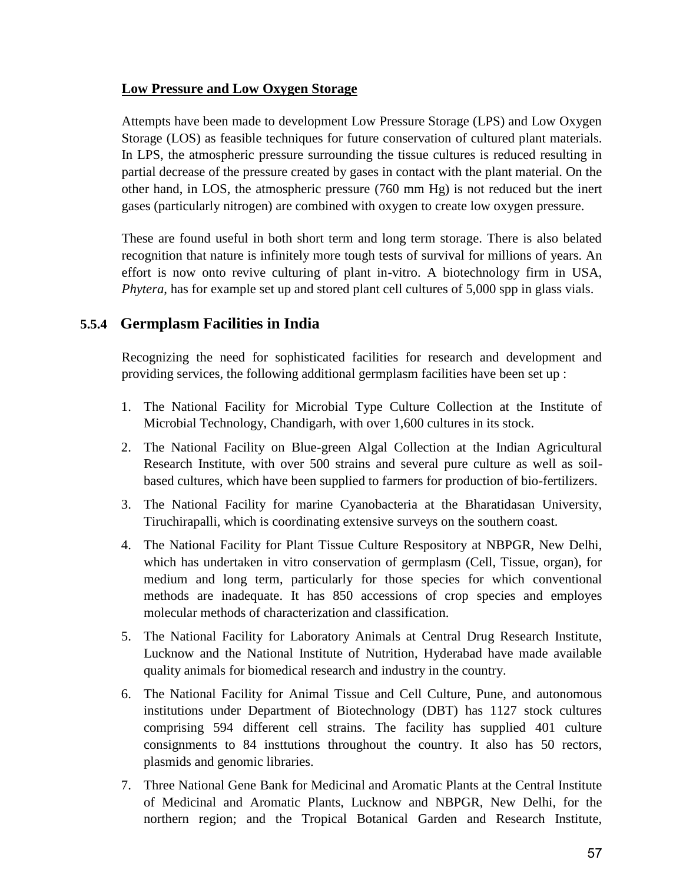### **Low Pressure and Low Oxygen Storage**

Attempts have been made to development Low Pressure Storage (LPS) and Low Oxygen Storage (LOS) as feasible techniques for future conservation of cultured plant materials. In LPS, the atmospheric pressure surrounding the tissue cultures is reduced resulting in partial decrease of the pressure created by gases in contact with the plant material. On the other hand, in LOS, the atmospheric pressure (760 mm Hg) is not reduced but the inert gases (particularly nitrogen) are combined with oxygen to create low oxygen pressure.

These are found useful in both short term and long term storage. There is also belated recognition that nature is infinitely more tough tests of survival for millions of years. An effort is now onto revive culturing of plant in-vitro. A biotechnology firm in USA, *Phytera*, has for example set up and stored plant cell cultures of 5,000 spp in glass vials.

## **5.5.4 Germplasm Facilities in India**

Recognizing the need for sophisticated facilities for research and development and providing services, the following additional germplasm facilities have been set up :

- 1. The National Facility for Microbial Type Culture Collection at the Institute of Microbial Technology, Chandigarh, with over 1,600 cultures in its stock.
- 2. The National Facility on Blue-green Algal Collection at the Indian Agricultural Research Institute, with over 500 strains and several pure culture as well as soilbased cultures, which have been supplied to farmers for production of bio-fertilizers.
- 3. The National Facility for marine Cyanobacteria at the Bharatidasan University, Tiruchirapalli, which is coordinating extensive surveys on the southern coast.
- 4. The National Facility for Plant Tissue Culture Respository at NBPGR, New Delhi, which has undertaken in vitro conservation of germplasm (Cell, Tissue, organ), for medium and long term, particularly for those species for which conventional methods are inadequate. It has 850 accessions of crop species and employes molecular methods of characterization and classification.
- 5. The National Facility for Laboratory Animals at Central Drug Research Institute, Lucknow and the National Institute of Nutrition, Hyderabad have made available quality animals for biomedical research and industry in the country.
- 6. The National Facility for Animal Tissue and Cell Culture, Pune, and autonomous institutions under Department of Biotechnology (DBT) has 1127 stock cultures comprising 594 different cell strains. The facility has supplied 401 culture consignments to 84 insttutions throughout the country. It also has 50 rectors, plasmids and genomic libraries.
- 7. Three National Gene Bank for Medicinal and Aromatic Plants at the Central Institute of Medicinal and Aromatic Plants, Lucknow and NBPGR, New Delhi, for the northern region; and the Tropical Botanical Garden and Research Institute,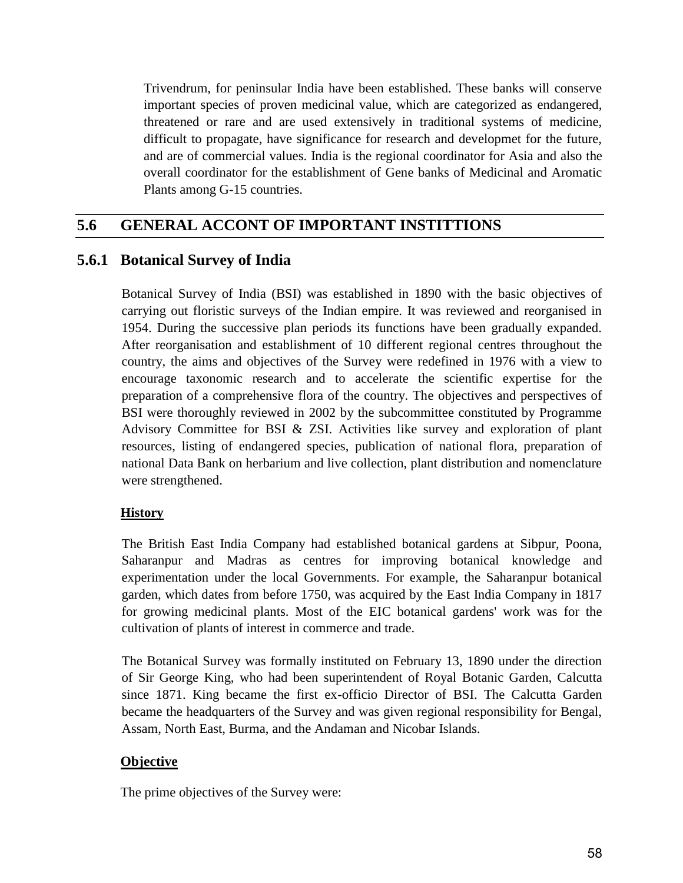Trivendrum, for peninsular India have been established. These banks will conserve important species of proven medicinal value, which are categorized as endangered, threatened or rare and are used extensively in traditional systems of medicine, difficult to propagate, have significance for research and developmet for the future, and are of commercial values. India is the regional coordinator for Asia and also the overall coordinator for the establishment of Gene banks of Medicinal and Aromatic Plants among G-15 countries.

## **5.6 GENERAL ACCONT OF IMPORTANT INSTITTIONS**

## **5.6.1 Botanical Survey of India**

Botanical Survey of India (BSI) was established in 1890 with the basic objectives of carrying out floristic surveys of the Indian empire. It was reviewed and reorganised in 1954. During the successive plan periods its functions have been gradually expanded. After reorganisation and establishment of 10 different regional centres throughout the country, the aims and objectives of the Survey were redefined in 1976 with a view to encourage taxonomic research and to accelerate the scientific expertise for the preparation of a comprehensive flora of the country. The objectives and perspectives of BSI were thoroughly reviewed in 2002 by the subcommittee constituted by Programme Advisory Committee for BSI & ZSI. Activities like survey and exploration of plant resources, listing of endangered species, publication of national flora, preparation of national Data Bank on herbarium and live collection, plant distribution and nomenclature were strengthened.

### **History**

The British East India Company had established botanical gardens at Sibpur, Poona, Saharanpur and Madras as centres for improving botanical knowledge and experimentation under the local Governments. For example, the Saharanpur botanical garden, which dates from before 1750, was acquired by the East India Company in 1817 for growing medicinal plants. Most of the EIC botanical gardens' work was for the cultivation of plants of interest in commerce and trade.

The Botanical Survey was formally instituted on February 13, 1890 under the direction of Sir George King, who had been superintendent of Royal Botanic Garden, Calcutta since 1871. King became the first ex-officio Director of BSI. The Calcutta Garden became the headquarters of the Survey and was given regional responsibility for Bengal, Assam, North East, Burma, and the Andaman and Nicobar Islands.

### **Objective**

The prime objectives of the Survey were: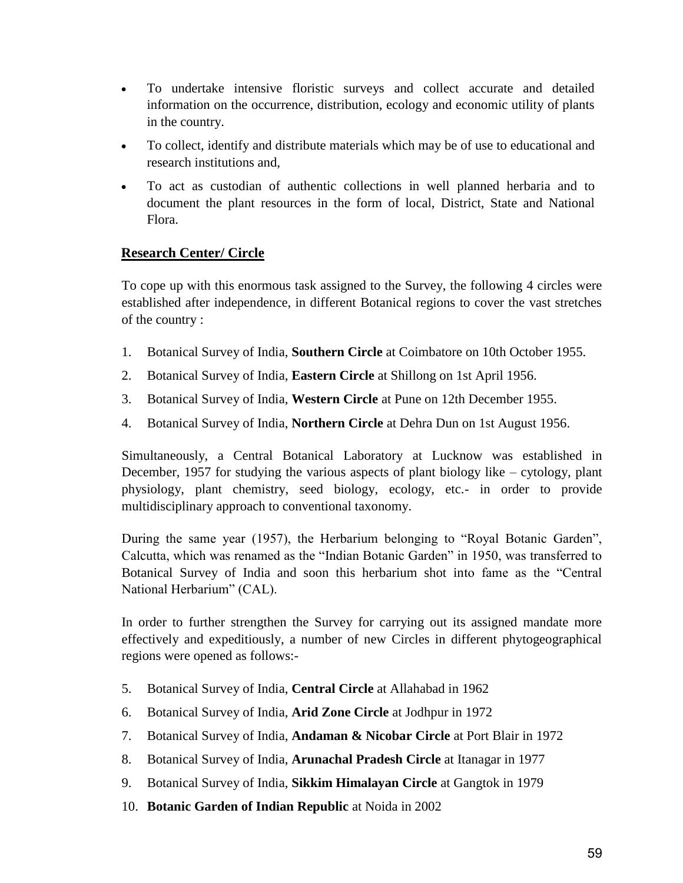- To undertake intensive floristic surveys and collect accurate and detailed information on the occurrence, distribution, ecology and economic utility of plants in the country.
- To collect, identify and distribute materials which may be of use to educational and research institutions and,
- To act as custodian of authentic collections in well planned herbaria and to document the plant resources in the form of local, District, State and National Flora.

### **Research Center/ Circle**

To cope up with this enormous task assigned to the Survey, the following 4 circles were established after independence, in different Botanical regions to cover the vast stretches of the country :

- 1. Botanical Survey of India, **Southern Circle** at Coimbatore on 10th October 1955.
- 2. Botanical Survey of India, **Eastern Circle** at Shillong on 1st April 1956.
- 3. Botanical Survey of India, **Western Circle** at Pune on 12th December 1955.
- 4. Botanical Survey of India, **Northern Circle** at Dehra Dun on 1st August 1956.

Simultaneously, a Central Botanical Laboratory at Lucknow was established in December, 1957 for studying the various aspects of plant biology like – cytology, plant physiology, plant chemistry, seed biology, ecology, etc.- in order to provide multidisciplinary approach to conventional taxonomy.

During the same year (1957), the Herbarium belonging to "Royal Botanic Garden", Calcutta, which was renamed as the "Indian Botanic Garden" in 1950, was transferred to Botanical Survey of India and soon this herbarium shot into fame as the "Central National Herbarium" (CAL).

In order to further strengthen the Survey for carrying out its assigned mandate more effectively and expeditiously, a number of new Circles in different phytogeographical regions were opened as follows:-

- 5. Botanical Survey of India, **Central Circle** at Allahabad in 1962
- 6. Botanical Survey of India, **Arid Zone Circle** at Jodhpur in 1972
- 7. Botanical Survey of India, **Andaman & Nicobar Circle** at Port Blair in 1972
- 8. Botanical Survey of India, **Arunachal Pradesh Circle** at Itanagar in 1977
- 9. Botanical Survey of India, **Sikkim Himalayan Circle** at Gangtok in 1979
- 10. **Botanic Garden of Indian Republic** at Noida in 2002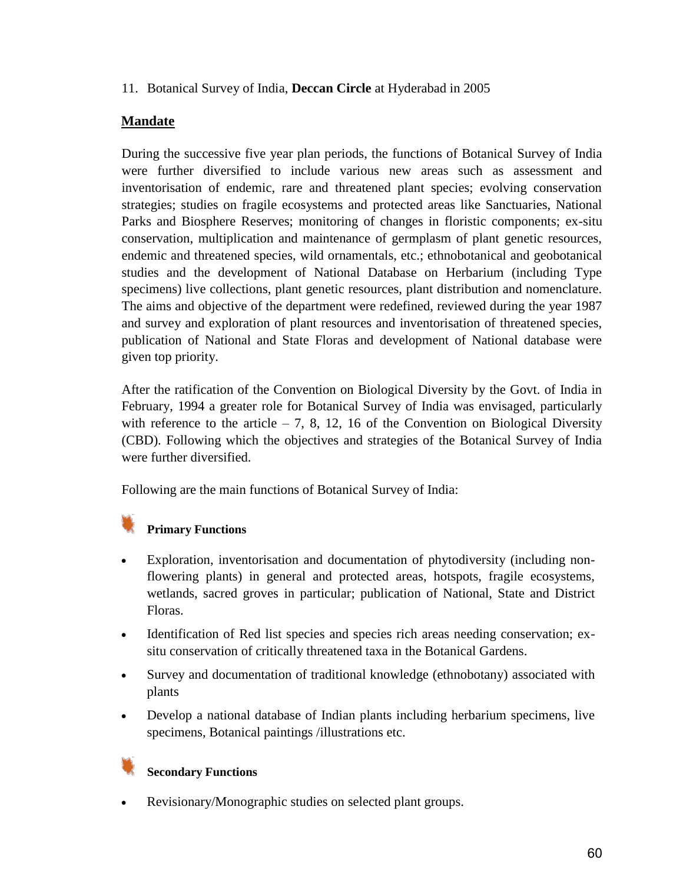#### 11. Botanical Survey of India, **Deccan Circle** at Hyderabad in 2005

### **Mandate**

During the successive five year plan periods, the functions of Botanical Survey of India were further diversified to include various new areas such as assessment and inventorisation of endemic, rare and threatened plant species; evolving conservation strategies; studies on fragile ecosystems and protected areas like Sanctuaries, National Parks and Biosphere Reserves; monitoring of changes in floristic components; ex-situ conservation, multiplication and maintenance of germplasm of plant genetic resources, endemic and threatened species, wild ornamentals, etc.; ethnobotanical and geobotanical studies and the development of National Database on Herbarium (including Type specimens) live collections, plant genetic resources, plant distribution and nomenclature. The aims and objective of the department were redefined, reviewed during the year 1987 and survey and exploration of plant resources and inventorisation of threatened species, publication of National and State Floras and development of National database were given top priority.

After the ratification of the Convention on Biological Diversity by the Govt. of India in February, 1994 a greater role for Botanical Survey of India was envisaged, particularly with reference to the article  $-7$ , 8, 12, 16 of the Convention on Biological Diversity (CBD). Following which the objectives and strategies of the Botanical Survey of India were further diversified.

Following are the main functions of Botanical Survey of India:

## **Primary Functions**

- Exploration, inventorisation and documentation of phytodiversity (including nonflowering plants) in general and protected areas, hotspots, fragile ecosystems, wetlands, sacred groves in particular; publication of National, State and District Floras.
- Identification of Red list species and species rich areas needing conservation; exsitu conservation of critically threatened taxa in the Botanical Gardens.
- Survey and documentation of traditional knowledge (ethnobotany) associated with plants
- Develop a national database of Indian plants including herbarium specimens, live specimens, Botanical paintings /illustrations etc.

### **Secondary Functions**

Revisionary/Monographic studies on selected plant groups.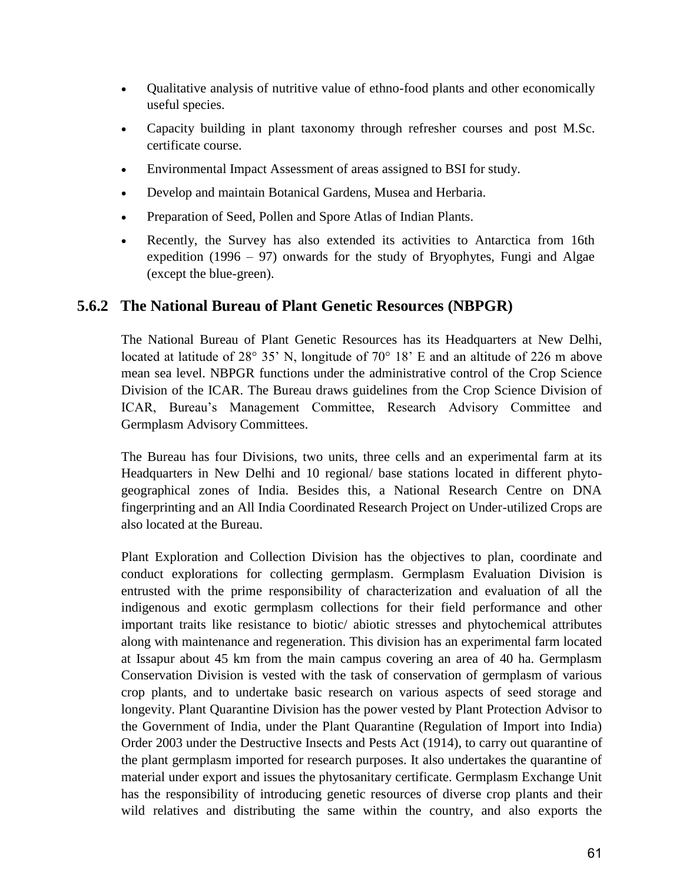- Qualitative analysis of nutritive value of ethno-food plants and other economically useful species.
- Capacity building in plant taxonomy through refresher courses and post M.Sc. certificate course.
- Environmental Impact Assessment of areas assigned to BSI for study.
- Develop and maintain Botanical Gardens, Musea and Herbaria.
- Preparation of Seed, Pollen and Spore Atlas of Indian Plants.
- Recently, the Survey has also extended its activities to Antarctica from 16th expedition (1996 – 97) onwards for the study of Bryophytes, Fungi and Algae (except the blue-green).

## **5.6.2 The National Bureau of Plant Genetic Resources (NBPGR)**

The National Bureau of Plant Genetic Resources has its Headquarters at New Delhi, located at latitude of  $28^{\circ}$  35' N, longitude of  $70^{\circ}$  18' E and an altitude of 226 m above mean sea level. NBPGR functions under the administrative control of the Crop Science Division of the ICAR. The Bureau draws guidelines from the Crop Science Division of ICAR, Bureau's Management Committee, Research Advisory Committee and Germplasm Advisory Committees.

The Bureau has four Divisions, two units, three cells and an experimental farm at its Headquarters in New Delhi and 10 regional/ base stations located in different phytogeographical zones of India. Besides this, a National Research Centre on DNA fingerprinting and an All India Coordinated Research Project on Under-utilized Crops are also located at the Bureau.

Plant Exploration and Collection Division has the objectives to plan, coordinate and conduct explorations for collecting germplasm. Germplasm Evaluation Division is entrusted with the prime responsibility of characterization and evaluation of all the indigenous and exotic germplasm collections for their field performance and other important traits like resistance to biotic/ abiotic stresses and phytochemical attributes along with maintenance and regeneration. This division has an experimental farm located at Issapur about 45 km from the main campus covering an area of 40 ha. Germplasm Conservation Division is vested with the task of conservation of germplasm of various crop plants, and to undertake basic research on various aspects of seed storage and longevity. Plant Quarantine Division has the power vested by Plant Protection Advisor to the Government of India, under the Plant Quarantine (Regulation of Import into India) Order 2003 under the Destructive Insects and Pests Act (1914), to carry out quarantine of the plant germplasm imported for research purposes. It also undertakes the quarantine of material under export and issues the phytosanitary certificate. Germplasm Exchange Unit has the responsibility of introducing genetic resources of diverse crop plants and their wild relatives and distributing the same within the country, and also exports the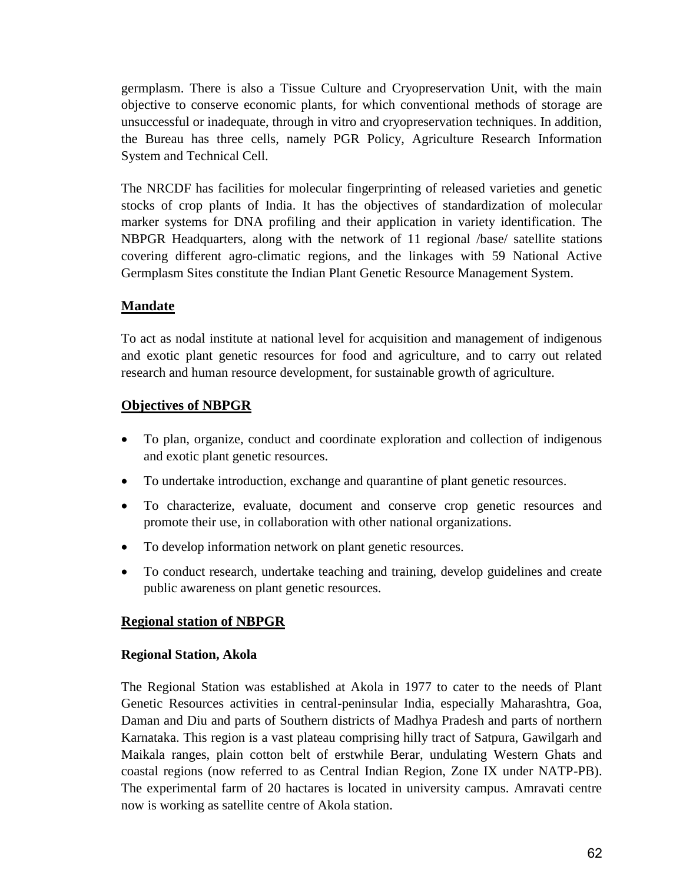germplasm. There is also a Tissue Culture and Cryopreservation Unit, with the main objective to conserve economic plants, for which conventional methods of storage are unsuccessful or inadequate, through in vitro and cryopreservation techniques. In addition, the Bureau has three cells, namely PGR Policy, Agriculture Research Information System and Technical Cell.

The NRCDF has facilities for molecular fingerprinting of released varieties and genetic stocks of crop plants of India. It has the objectives of standardization of molecular marker systems for DNA profiling and their application in variety identification. The NBPGR Headquarters, along with the network of 11 regional /base/ satellite stations covering different agro-climatic regions, and the linkages with 59 National Active Germplasm Sites constitute the Indian Plant Genetic Resource Management System.

### **Mandate**

To act as nodal institute at national level for acquisition and management of indigenous and exotic plant genetic resources for food and agriculture, and to carry out related research and human resource development, for sustainable growth of agriculture.

#### **Objectives of NBPGR**

- To plan, organize, conduct and coordinate exploration and collection of indigenous and exotic plant genetic resources.
- To undertake introduction, exchange and quarantine of plant genetic resources.
- To characterize, evaluate, document and conserve crop genetic resources and promote their use, in collaboration with other national organizations.
- To develop information network on plant genetic resources.
- To conduct research, undertake teaching and training, develop guidelines and create public awareness on plant genetic resources.

### **Regional station of NBPGR**

#### **Regional Station, Akola**

The Regional Station was established at Akola in 1977 to cater to the needs of Plant Genetic Resources activities in central-peninsular India, especially Maharashtra, Goa, Daman and Diu and parts of Southern districts of Madhya Pradesh and parts of northern Karnataka. This region is a vast plateau comprising hilly tract of Satpura, Gawilgarh and Maikala ranges, plain cotton belt of erstwhile Berar, undulating Western Ghats and coastal regions (now referred to as Central Indian Region, Zone IX under NATP-PB). The experimental farm of 20 hactares is located in university campus. Amravati centre now is working as satellite centre of Akola station.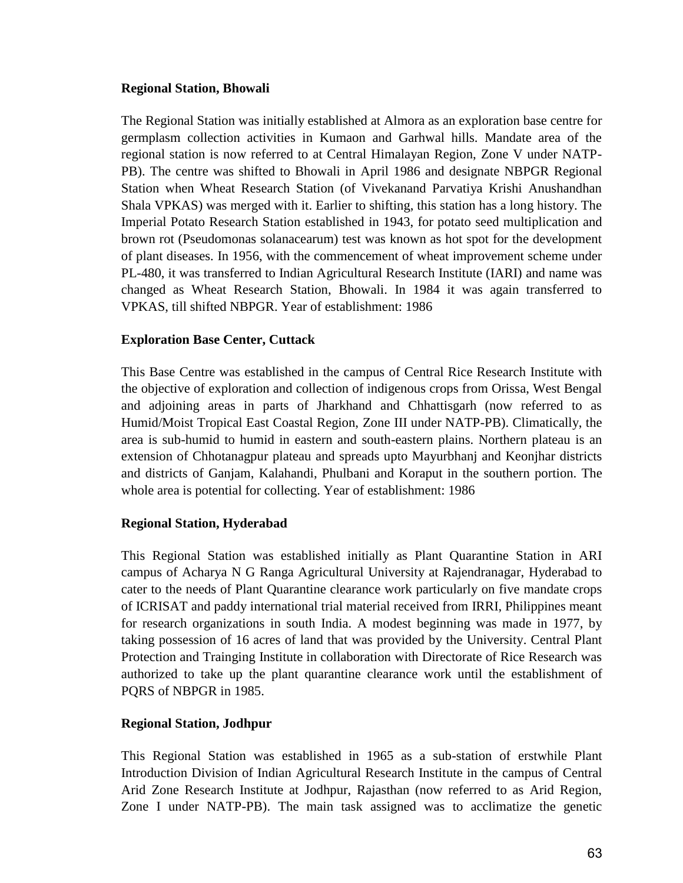#### **Regional Station, Bhowali**

The Regional Station was initially established at Almora as an exploration base centre for germplasm collection activities in Kumaon and Garhwal hills. Mandate area of the regional station is now referred to at Central Himalayan Region, Zone V under NATP-PB). The centre was shifted to Bhowali in April 1986 and designate NBPGR Regional Station when Wheat Research Station (of Vivekanand Parvatiya Krishi Anushandhan Shala VPKAS) was merged with it. Earlier to shifting, this station has a long history. The Imperial Potato Research Station established in 1943, for potato seed multiplication and brown rot (Pseudomonas solanacearum) test was known as hot spot for the development of plant diseases. In 1956, with the commencement of wheat improvement scheme under PL-480, it was transferred to Indian Agricultural Research Institute (IARI) and name was changed as Wheat Research Station, Bhowali. In 1984 it was again transferred to VPKAS, till shifted NBPGR. Year of establishment: 1986

#### **Exploration Base Center, Cuttack**

This Base Centre was established in the campus of Central Rice Research Institute with the objective of exploration and collection of indigenous crops from Orissa, West Bengal and adjoining areas in parts of Jharkhand and Chhattisgarh (now referred to as Humid/Moist Tropical East Coastal Region, Zone III under NATP-PB). Climatically, the area is sub-humid to humid in eastern and south-eastern plains. Northern plateau is an extension of Chhotanagpur plateau and spreads upto Mayurbhanj and Keonjhar districts and districts of Ganjam, Kalahandi, Phulbani and Koraput in the southern portion. The whole area is potential for collecting. Year of establishment: 1986

#### **Regional Station, Hyderabad**

This Regional Station was established initially as Plant Quarantine Station in ARI campus of Acharya N G Ranga Agricultural University at Rajendranagar, Hyderabad to cater to the needs of Plant Quarantine clearance work particularly on five mandate crops of ICRISAT and paddy international trial material received from IRRI, Philippines meant for research organizations in south India. A modest beginning was made in 1977, by taking possession of 16 acres of land that was provided by the University. Central Plant Protection and Trainging Institute in collaboration with Directorate of Rice Research was authorized to take up the plant quarantine clearance work until the establishment of PQRS of NBPGR in 1985.

#### **Regional Station, Jodhpur**

This Regional Station was established in 1965 as a sub-station of erstwhile Plant Introduction Division of Indian Agricultural Research Institute in the campus of Central Arid Zone Research Institute at Jodhpur, Rajasthan (now referred to as Arid Region, Zone I under NATP-PB). The main task assigned was to acclimatize the genetic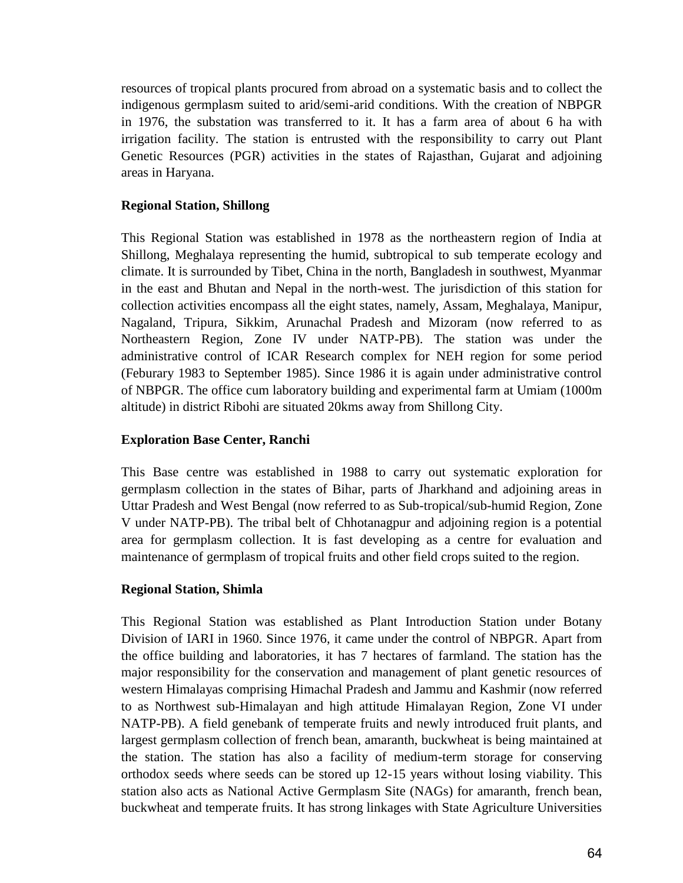resources of tropical plants procured from abroad on a systematic basis and to collect the indigenous germplasm suited to arid/semi-arid conditions. With the creation of NBPGR in 1976, the substation was transferred to it. It has a farm area of about 6 ha with irrigation facility. The station is entrusted with the responsibility to carry out Plant Genetic Resources (PGR) activities in the states of Rajasthan, Gujarat and adjoining areas in Haryana.

#### **Regional Station, Shillong**

This Regional Station was established in 1978 as the northeastern region of India at Shillong, Meghalaya representing the humid, subtropical to sub temperate ecology and climate. It is surrounded by Tibet, China in the north, Bangladesh in southwest, Myanmar in the east and Bhutan and Nepal in the north-west. The jurisdiction of this station for collection activities encompass all the eight states, namely, Assam, Meghalaya, Manipur, Nagaland, Tripura, Sikkim, Arunachal Pradesh and Mizoram (now referred to as Northeastern Region, Zone IV under NATP-PB). The station was under the administrative control of ICAR Research complex for NEH region for some period (Feburary 1983 to September 1985). Since 1986 it is again under administrative control of NBPGR. The office cum laboratory building and experimental farm at Umiam (1000m altitude) in district Ribohi are situated 20kms away from Shillong City.

#### **Exploration Base Center, Ranchi**

This Base centre was established in 1988 to carry out systematic exploration for germplasm collection in the states of Bihar, parts of Jharkhand and adjoining areas in Uttar Pradesh and West Bengal (now referred to as Sub-tropical/sub-humid Region, Zone V under NATP-PB). The tribal belt of Chhotanagpur and adjoining region is a potential area for germplasm collection. It is fast developing as a centre for evaluation and maintenance of germplasm of tropical fruits and other field crops suited to the region.

#### **Regional Station, Shimla**

This Regional Station was established as Plant Introduction Station under Botany Division of IARI in 1960. Since 1976, it came under the control of NBPGR. Apart from the office building and laboratories, it has 7 hectares of farmland. The station has the major responsibility for the conservation and management of plant genetic resources of western Himalayas comprising Himachal Pradesh and Jammu and Kashmir (now referred to as Northwest sub-Himalayan and high attitude Himalayan Region, Zone VI under NATP-PB). A field genebank of temperate fruits and newly introduced fruit plants, and largest germplasm collection of french bean, amaranth, buckwheat is being maintained at the station. The station has also a facility of medium-term storage for conserving orthodox seeds where seeds can be stored up 12-15 years without losing viability. This station also acts as National Active Germplasm Site (NAGs) for amaranth, french bean, buckwheat and temperate fruits. It has strong linkages with State Agriculture Universities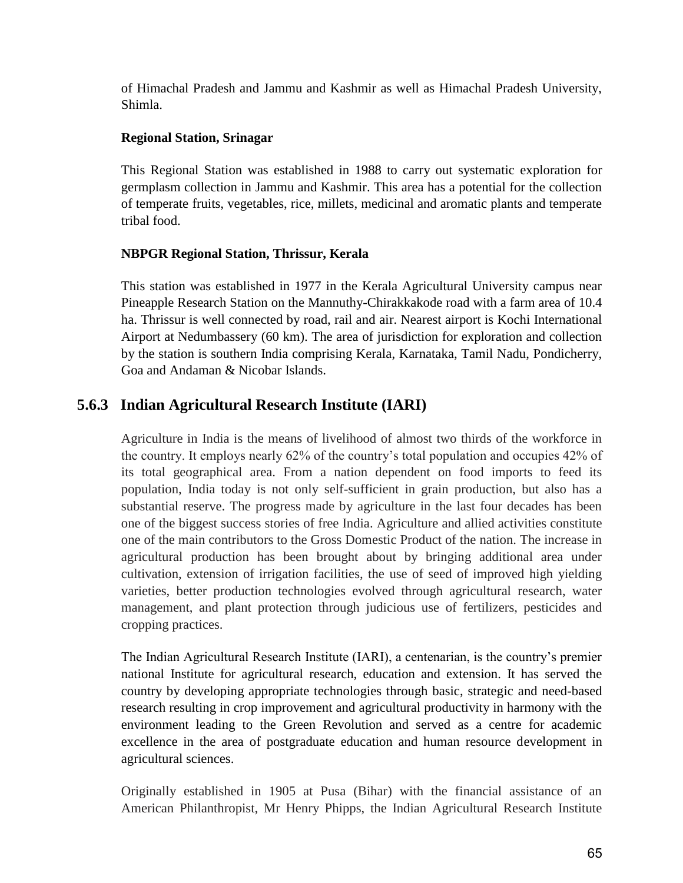of Himachal Pradesh and Jammu and Kashmir as well as Himachal Pradesh University, Shimla.

### **Regional Station, Srinagar**

This Regional Station was established in 1988 to carry out systematic exploration for germplasm collection in Jammu and Kashmir. This area has a potential for the collection of temperate fruits, vegetables, rice, millets, medicinal and aromatic plants and temperate tribal food.

### **NBPGR Regional Station, Thrissur, Kerala**

This station was established in 1977 in the Kerala Agricultural University campus near Pineapple Research Station on the Mannuthy-Chirakkakode road with a farm area of 10.4 ha. Thrissur is well connected by road, rail and air. Nearest airport is Kochi International Airport at Nedumbassery (60 km). The area of jurisdiction for exploration and collection by the station is southern India comprising Kerala, Karnataka, Tamil Nadu, Pondicherry, Goa and Andaman & Nicobar Islands.

## **5.6.3 Indian Agricultural Research Institute (IARI)**

Agriculture in India is the means of livelihood of almost two thirds of the workforce in the country. It employs nearly 62% of the country"s total population and occupies 42% of its total geographical area. From a nation dependent on food imports to feed its population, India today is not only self-sufficient in grain production, but also has a substantial reserve. The progress made by agriculture in the last four decades has been one of the biggest success stories of free India. Agriculture and allied activities constitute one of the main contributors to the Gross Domestic Product of the nation. The increase in agricultural production has been brought about by bringing additional area under cultivation, extension of irrigation facilities, the use of seed of improved high yielding varieties, better production technologies evolved through agricultural research, water management, and plant protection through judicious use of fertilizers, pesticides and cropping practices.

The Indian Agricultural Research Institute (IARI), a centenarian, is the country"s premier national Institute for agricultural research, education and extension. It has served the country by developing appropriate technologies through basic, strategic and need-based research resulting in crop improvement and agricultural productivity in harmony with the environment leading to the Green Revolution and served as a centre for academic excellence in the area of postgraduate education and human resource development in agricultural sciences.

Originally established in 1905 at Pusa (Bihar) with the financial assistance of an American Philanthropist, Mr Henry Phipps, the Indian Agricultural Research Institute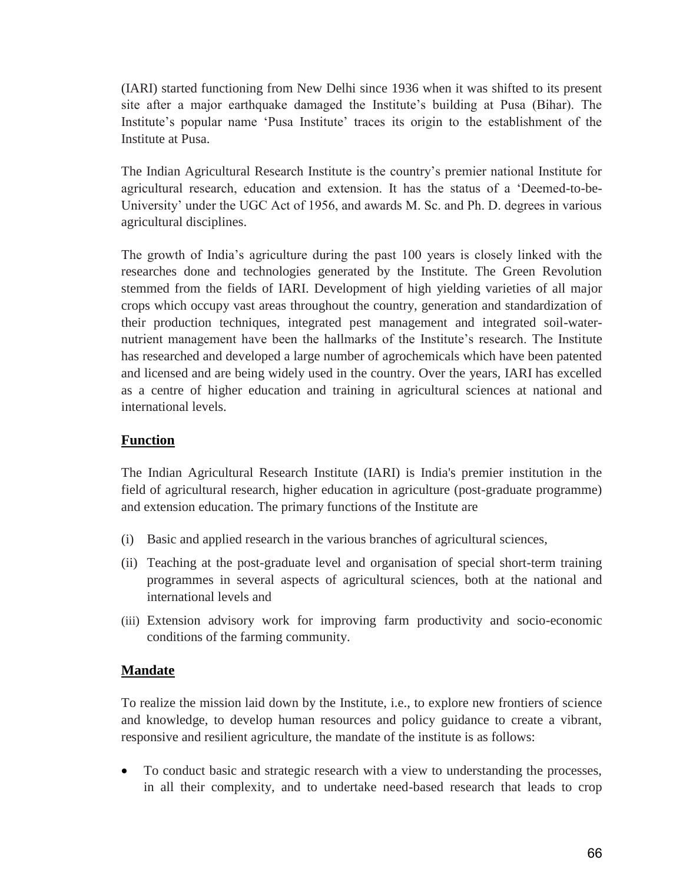(IARI) started functioning from New Delhi since 1936 when it was shifted to its present site after a major earthquake damaged the Institute"s building at Pusa (Bihar). The Institute's popular name 'Pusa Institute' traces its origin to the establishment of the Institute at Pusa.

The Indian Agricultural Research Institute is the country"s premier national Institute for agricultural research, education and extension. It has the status of a "Deemed-to-be-University' under the UGC Act of 1956, and awards M. Sc. and Ph. D. degrees in various agricultural disciplines.

The growth of India"s agriculture during the past 100 years is closely linked with the researches done and technologies generated by the Institute. The Green Revolution stemmed from the fields of IARI. Development of high yielding varieties of all major crops which occupy vast areas throughout the country, generation and standardization of their production techniques, integrated pest management and integrated soil-waternutrient management have been the hallmarks of the Institute's research. The Institute has researched and developed a large number of agrochemicals which have been patented and licensed and are being widely used in the country. Over the years, IARI has excelled as a centre of higher education and training in agricultural sciences at national and international levels.

### **Function**

The Indian Agricultural Research Institute (IARI) is India's premier institution in the field of agricultural research, higher education in agriculture (post-graduate programme) and extension education. The primary functions of the Institute are

- (i) Basic and applied research in the various branches of agricultural sciences,
- (ii) Teaching at the post-graduate level and organisation of special short-term training programmes in several aspects of agricultural sciences, both at the national and international levels and
- (iii) Extension advisory work for improving farm productivity and socio-economic conditions of the farming community.

### **Mandate**

To realize the mission laid down by the Institute, i.e., to explore new frontiers of science and knowledge, to develop human resources and policy guidance to create a vibrant, responsive and resilient agriculture, the mandate of the institute is as follows:

 To conduct basic and strategic research with a view to understanding the processes, in all their complexity, and to undertake need-based research that leads to crop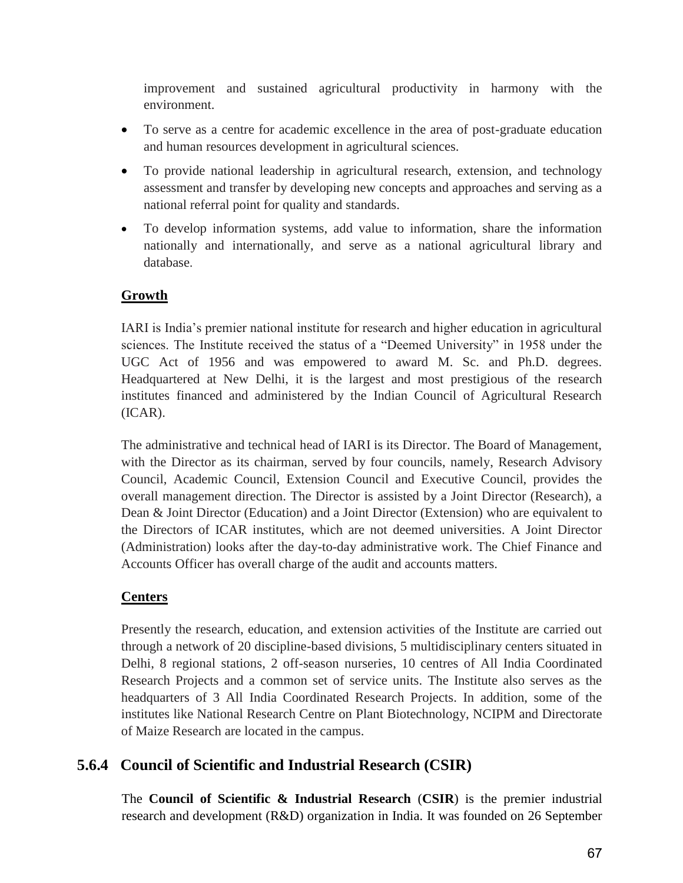improvement and sustained agricultural productivity in harmony with the environment.

- To serve as a centre for academic excellence in the area of post-graduate education and human resources development in agricultural sciences.
- To provide national leadership in agricultural research, extension, and technology assessment and transfer by developing new concepts and approaches and serving as a national referral point for quality and standards.
- To develop information systems, add value to information, share the information nationally and internationally, and serve as a national agricultural library and database.

### **Growth**

IARI is India"s premier national institute for research and higher education in agricultural sciences. The Institute received the status of a "Deemed University" in 1958 under the UGC Act of 1956 and was empowered to award M. Sc. and Ph.D. degrees. Headquartered at New Delhi, it is the largest and most prestigious of the research institutes financed and administered by the Indian Council of Agricultural Research (ICAR).

The administrative and technical head of IARI is its Director. The Board of Management, with the Director as its chairman, served by four councils, namely, Research Advisory Council, Academic Council, Extension Council and Executive Council, provides the overall management direction. The Director is assisted by a Joint Director (Research), a Dean & Joint Director (Education) and a Joint Director (Extension) who are equivalent to the Directors of ICAR institutes, which are not deemed universities. A Joint Director (Administration) looks after the day-to-day administrative work. The Chief Finance and Accounts Officer has overall charge of the audit and accounts matters.

## **Centers**

Presently the research, education, and extension activities of the Institute are carried out through a network of 20 discipline-based divisions, 5 multidisciplinary centers situated in Delhi, 8 regional stations, 2 off-season nurseries, 10 centres of All India Coordinated Research Projects and a common set of service units. The Institute also serves as the headquarters of 3 All India Coordinated Research Projects. In addition, some of the institutes like National Research Centre on Plant Biotechnology, NCIPM and Directorate of Maize Research are located in the campus.

## **5.6.4 Council of Scientific and Industrial Research (CSIR)**

The **Council of Scientific & Industrial Research** (**CSIR**) is the premier industrial research and development (R&D) organization in India. It was founded on 26 September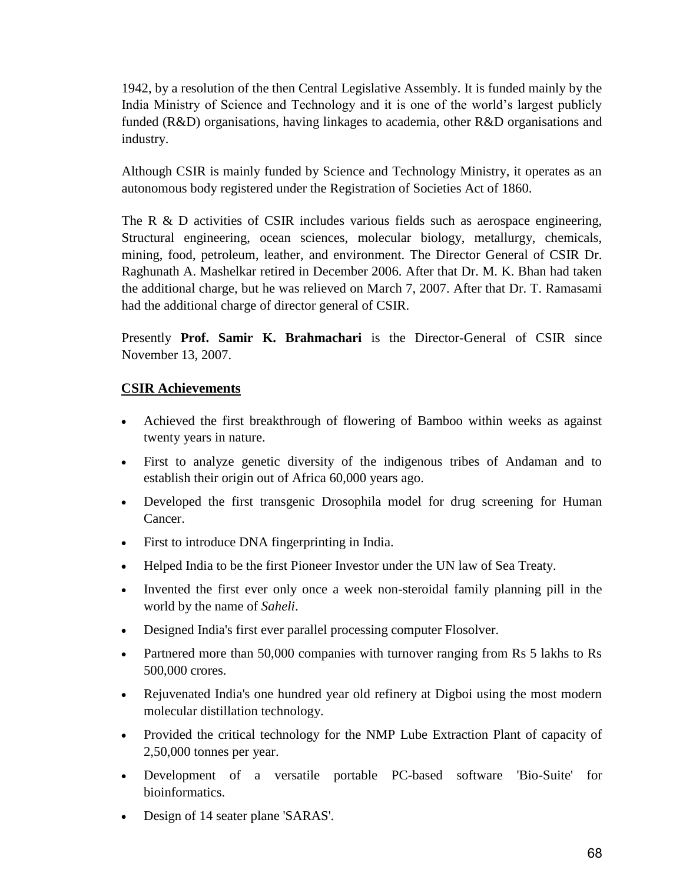1942, by a resolution of the then Central Legislative Assembly. It is funded mainly by the India Ministry of Science and Technology and it is one of the world"s largest publicly funded (R&D) organisations, having linkages to academia, other R&D organisations and industry.

Although CSIR is mainly funded by Science and Technology Ministry, it operates as an autonomous body registered under the Registration of Societies Act of 1860.

The R & D activities of CSIR includes various fields such as aerospace engineering, Structural engineering, ocean sciences, molecular biology, metallurgy, chemicals, mining, food, petroleum, leather, and environment. The Director General of CSIR Dr. Raghunath A. Mashelkar retired in December 2006. After that Dr. M. K. Bhan had taken the additional charge, but he was relieved on March 7, 2007. After that Dr. T. Ramasami had the additional charge of director general of CSIR.

Presently **Prof. Samir K. Brahmachari** is the Director-General of CSIR since November 13, 2007.

### **CSIR Achievements**

- Achieved the first breakthrough of flowering of Bamboo within weeks as against twenty years in nature.
- First to analyze genetic diversity of the indigenous tribes of Andaman and to establish their origin out of Africa 60,000 years ago.
- Developed the first transgenic Drosophila model for drug screening for Human Cancer.
- First to introduce DNA fingerprinting in India.
- Helped India to be the first Pioneer Investor under the UN law of Sea Treaty.
- Invented the first ever only once a week non-steroidal family planning pill in the world by the name of *Saheli*.
- Designed India's first ever parallel processing computer Flosolver.
- Partnered more than 50,000 companies with turnover ranging from Rs 5 lakhs to Rs 500,000 crores.
- Rejuvenated India's one hundred year old refinery at Digboi using the most modern molecular distillation technology.
- Provided the critical technology for the NMP Lube Extraction Plant of capacity of 2,50,000 tonnes per year.
- Development of a versatile portable PC-based software 'Bio-Suite' for bioinformatics.
- Design of 14 seater plane 'SARAS'.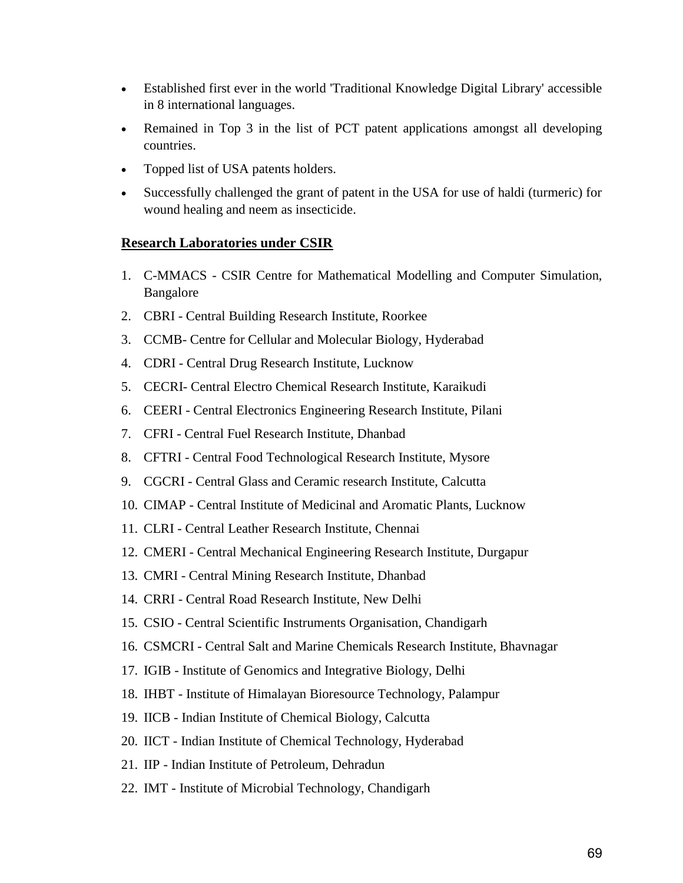- Established first ever in the world 'Traditional Knowledge Digital Library' accessible in 8 international languages.
- Remained in Top 3 in the list of PCT patent applications amongst all developing countries.
- Topped list of USA patents holders.
- Successfully challenged the grant of patent in the USA for use of haldi (turmeric) for wound healing and neem as insecticide.

#### **Research Laboratories under CSIR**

- 1. C-MMACS CSIR Centre for Mathematical Modelling and Computer Simulation, Bangalore
- 2. CBRI Central Building Research Institute, Roorkee
- 3. CCMB- Centre for Cellular and Molecular Biology, Hyderabad
- 4. CDRI Central Drug Research Institute, Lucknow
- 5. CECRI- Central Electro Chemical Research Institute, Karaikudi
- 6. CEERI Central Electronics Engineering Research Institute, Pilani
- 7. CFRI Central Fuel Research Institute, Dhanbad
- 8. CFTRI Central Food Technological Research Institute, Mysore
- 9. CGCRI Central Glass and Ceramic research Institute, Calcutta
- 10. CIMAP Central Institute of Medicinal and Aromatic Plants, Lucknow
- 11. CLRI Central Leather Research Institute, Chennai
- 12. CMERI Central Mechanical Engineering Research Institute, Durgapur
- 13. CMRI Central Mining Research Institute, Dhanbad
- 14. CRRI Central Road Research Institute, New Delhi
- 15. CSIO Central Scientific Instruments Organisation, Chandigarh
- 16. CSMCRI Central Salt and Marine Chemicals Research Institute, Bhavnagar
- 17. IGIB Institute of Genomics and Integrative Biology, Delhi
- 18. IHBT Institute of Himalayan Bioresource Technology, Palampur
- 19. IICB Indian Institute of Chemical Biology, Calcutta
- 20. IICT Indian Institute of Chemical Technology, Hyderabad
- 21. IIP Indian Institute of Petroleum, Dehradun
- 22. IMT Institute of Microbial Technology, Chandigarh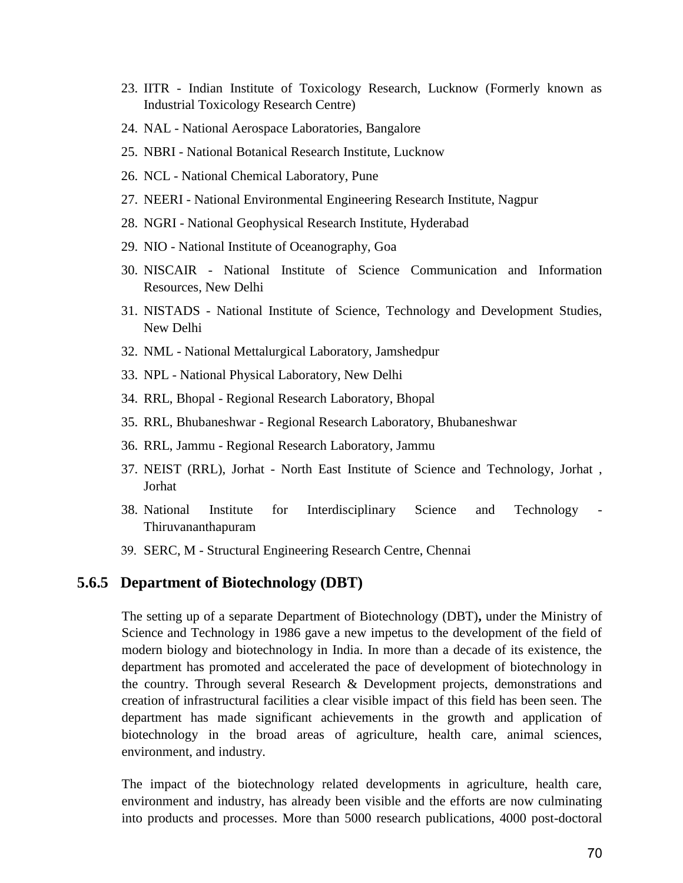- 23. IITR Indian Institute of Toxicology Research, Lucknow (Formerly known as Industrial Toxicology Research Centre)
- 24. NAL National Aerospace Laboratories, Bangalore
- 25. NBRI National Botanical Research Institute, Lucknow
- 26. NCL National Chemical Laboratory, Pune
- 27. NEERI National Environmental Engineering Research Institute, Nagpur
- 28. NGRI National Geophysical Research Institute, Hyderabad
- 29. NIO National Institute of Oceanography, Goa
- 30. NISCAIR National Institute of Science Communication and Information Resources, New Delhi
- 31. NISTADS National Institute of Science, Technology and Development Studies, New Delhi
- 32. NML National Mettalurgical Laboratory, Jamshedpur
- 33. NPL National Physical Laboratory, New Delhi
- 34. RRL, Bhopal Regional Research Laboratory, Bhopal
- 35. RRL, Bhubaneshwar Regional Research Laboratory, Bhubaneshwar
- 36. RRL, Jammu Regional Research Laboratory, Jammu
- 37. NEIST (RRL), Jorhat North East Institute of Science and Technology, Jorhat , Jorhat
- 38. National Institute for Interdisciplinary Science and Technology Thiruvananthapuram
- 39. SERC, M Structural Engineering Research Centre, Chennai

#### **5.6.5 Department of Biotechnology (DBT)**

The setting up of a separate Department of Biotechnology (DBT)**,** under the Ministry of Science and Technology in 1986 gave a new impetus to the development of the field of modern biology and biotechnology in India. In more than a decade of its existence, the department has promoted and accelerated the pace of development of biotechnology in the country. Through several Research & Development projects, demonstrations and creation of infrastructural facilities a clear visible impact of this field has been seen. The department has made significant achievements in the growth and application of biotechnology in the broad areas of agriculture, health care, animal sciences, environment, and industry.

The impact of the biotechnology related developments in agriculture, health care, environment and industry, has already been visible and the efforts are now culminating into products and processes. More than 5000 research publications, 4000 post-doctoral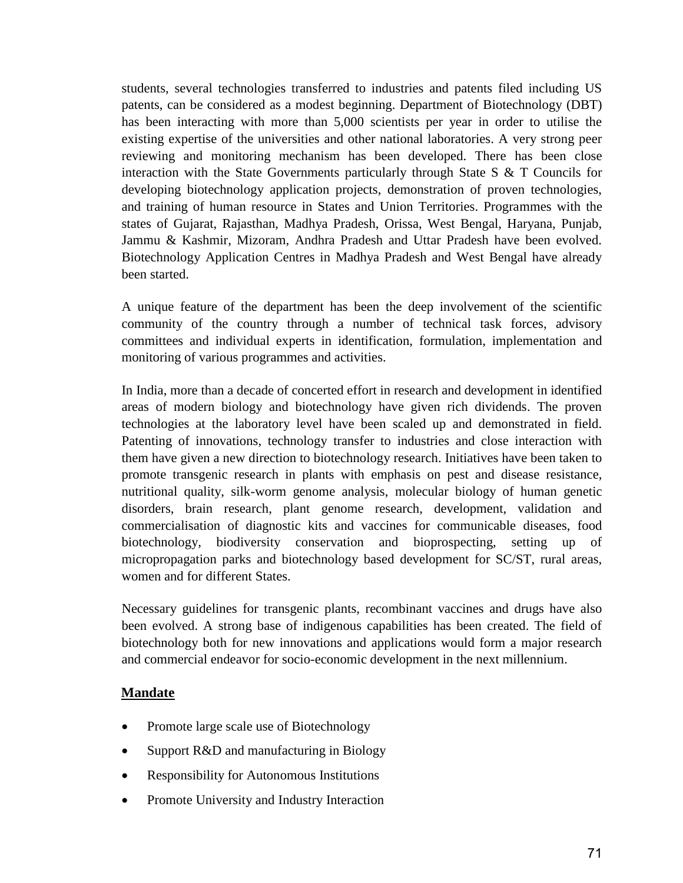students, several technologies transferred to industries and patents filed including US patents, can be considered as a modest beginning. Department of Biotechnology (DBT) has been interacting with more than 5,000 scientists per year in order to utilise the existing expertise of the universities and other national laboratories. A very strong peer reviewing and monitoring mechanism has been developed. There has been close interaction with the State Governments particularly through State S & T Councils for developing biotechnology application projects, demonstration of proven technologies, and training of human resource in States and Union Territories. Programmes with the states of Gujarat, Rajasthan, Madhya Pradesh, Orissa, West Bengal, Haryana, Punjab, Jammu & Kashmir, Mizoram, Andhra Pradesh and Uttar Pradesh have been evolved. Biotechnology Application Centres in Madhya Pradesh and West Bengal have already been started.

A unique feature of the department has been the deep involvement of the scientific community of the country through a number of technical task forces, advisory committees and individual experts in identification, formulation, implementation and monitoring of various programmes and activities.

In India, more than a decade of concerted effort in research and development in identified areas of modern biology and biotechnology have given rich dividends. The proven technologies at the laboratory level have been scaled up and demonstrated in field. Patenting of innovations, technology transfer to industries and close interaction with them have given a new direction to biotechnology research. Initiatives have been taken to promote transgenic research in plants with emphasis on pest and disease resistance, nutritional quality, silk-worm genome analysis, molecular biology of human genetic disorders, brain research, plant genome research, development, validation and commercialisation of diagnostic kits and vaccines for communicable diseases, food biotechnology, biodiversity conservation and bioprospecting, setting up of micropropagation parks and biotechnology based development for SC/ST, rural areas, women and for different States.

Necessary guidelines for transgenic plants, recombinant vaccines and drugs have also been evolved. A strong base of indigenous capabilities has been created. The field of biotechnology both for new innovations and applications would form a major research and commercial endeavor for socio-economic development in the next millennium.

### **Mandate**

- Promote large scale use of Biotechnology
- Support R&D and manufacturing in Biology
- Responsibility for Autonomous Institutions
- Promote University and Industry Interaction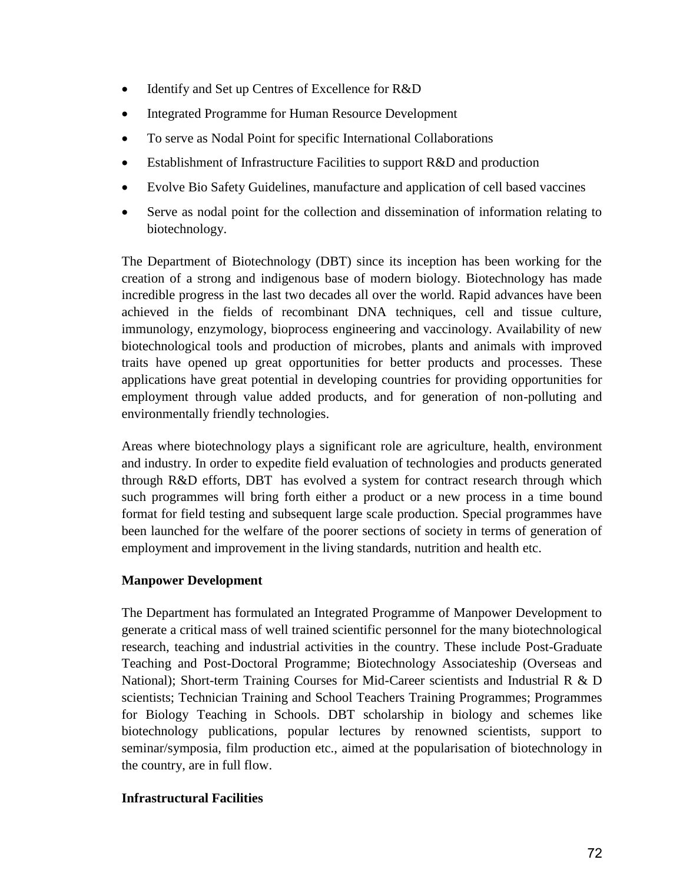- Identify and Set up Centres of Excellence for R&D
- Integrated Programme for Human Resource Development
- To serve as Nodal Point for specific International Collaborations
- Establishment of Infrastructure Facilities to support R&D and production
- Evolve Bio Safety Guidelines, manufacture and application of cell based vaccines
- Serve as nodal point for the collection and dissemination of information relating to biotechnology.

The Department of Biotechnology (DBT) since its inception has been working for the creation of a strong and indigenous base of modern biology. Biotechnology has made incredible progress in the last two decades all over the world. Rapid advances have been achieved in the fields of recombinant DNA techniques, cell and tissue culture, immunology, enzymology, bioprocess engineering and vaccinology. Availability of new biotechnological tools and production of microbes, plants and animals with improved traits have opened up great opportunities for better products and processes. These applications have great potential in developing countries for providing opportunities for employment through value added products, and for generation of non-polluting and environmentally friendly technologies.

Areas where biotechnology plays a significant role are agriculture, health, environment and industry. In order to expedite field evaluation of technologies and products generated through R&D efforts, DBT has evolved a system for contract research through which such programmes will bring forth either a product or a new process in a time bound format for field testing and subsequent large scale production. Special programmes have been launched for the welfare of the poorer sections of society in terms of generation of employment and improvement in the living standards, nutrition and health etc.

#### **Manpower Development**

The Department has formulated an Integrated Programme of Manpower Development to generate a critical mass of well trained scientific personnel for the many biotechnological research, teaching and industrial activities in the country. These include Post-Graduate Teaching and Post-Doctoral Programme; Biotechnology Associateship (Overseas and National); Short-term Training Courses for Mid-Career scientists and Industrial R & D scientists; Technician Training and School Teachers Training Programmes; Programmes for Biology Teaching in Schools. DBT scholarship in biology and schemes like biotechnology publications, popular lectures by renowned scientists, support to seminar/symposia, film production etc., aimed at the popularisation of biotechnology in the country, are in full flow.

#### **Infrastructural Facilities**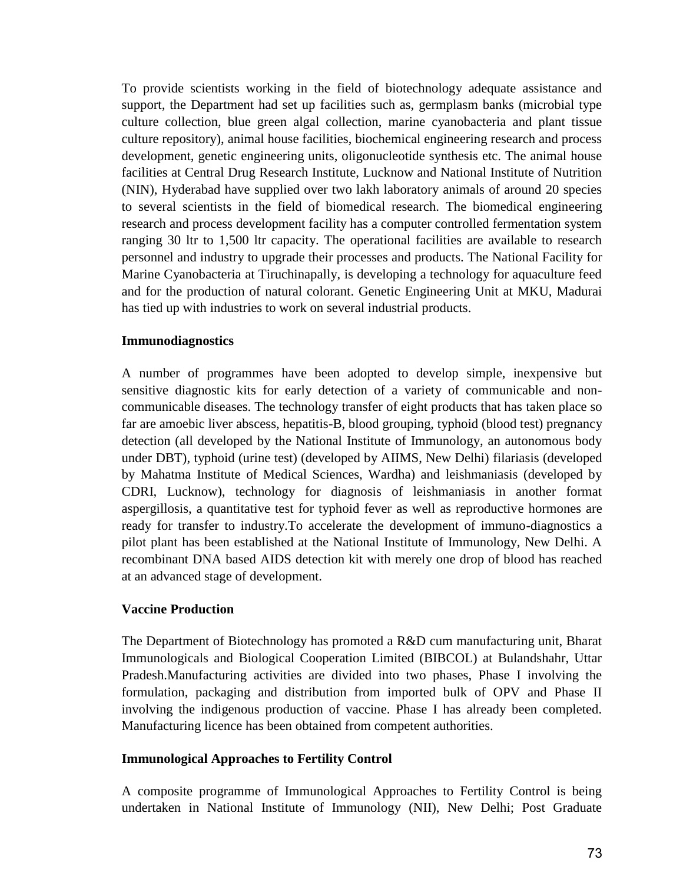To provide scientists working in the field of biotechnology adequate assistance and support, the Department had set up facilities such as, germplasm banks (microbial type culture collection, blue green algal collection, marine cyanobacteria and plant tissue culture repository), animal house facilities, biochemical engineering research and process development, genetic engineering units, oligonucleotide synthesis etc. The animal house facilities at Central Drug Research Institute, Lucknow and National Institute of Nutrition (NIN), Hyderabad have supplied over two lakh laboratory animals of around 20 species to several scientists in the field of biomedical research. The biomedical engineering research and process development facility has a computer controlled fermentation system ranging 30 ltr to 1,500 ltr capacity. The operational facilities are available to research personnel and industry to upgrade their processes and products. The National Facility for Marine Cyanobacteria at Tiruchinapally, is developing a technology for aquaculture feed and for the production of natural colorant. Genetic Engineering Unit at MKU, Madurai has tied up with industries to work on several industrial products.

#### **Immunodiagnostics**

A number of programmes have been adopted to develop simple, inexpensive but sensitive diagnostic kits for early detection of a variety of communicable and noncommunicable diseases. The technology transfer of eight products that has taken place so far are amoebic liver abscess, hepatitis-B, blood grouping, typhoid (blood test) pregnancy detection (all developed by the National Institute of Immunology, an autonomous body under DBT), typhoid (urine test) (developed by AIIMS, New Delhi) filariasis (developed by Mahatma Institute of Medical Sciences, Wardha) and leishmaniasis (developed by CDRI, Lucknow), technology for diagnosis of leishmaniasis in another format aspergillosis, a quantitative test for typhoid fever as well as reproductive hormones are ready for transfer to industry.To accelerate the development of immuno-diagnostics a pilot plant has been established at the National Institute of Immunology, New Delhi. A recombinant DNA based AIDS detection kit with merely one drop of blood has reached at an advanced stage of development.

#### **Vaccine Production**

The Department of Biotechnology has promoted a R&D cum manufacturing unit, Bharat Immunologicals and Biological Cooperation Limited (BIBCOL) at Bulandshahr, Uttar Pradesh.Manufacturing activities are divided into two phases, Phase I involving the formulation, packaging and distribution from imported bulk of OPV and Phase II involving the indigenous production of vaccine. Phase I has already been completed. Manufacturing licence has been obtained from competent authorities.

#### **Immunological Approaches to Fertility Control**

A composite programme of Immunological Approaches to Fertility Control is being undertaken in National Institute of Immunology (NII), New Delhi; Post Graduate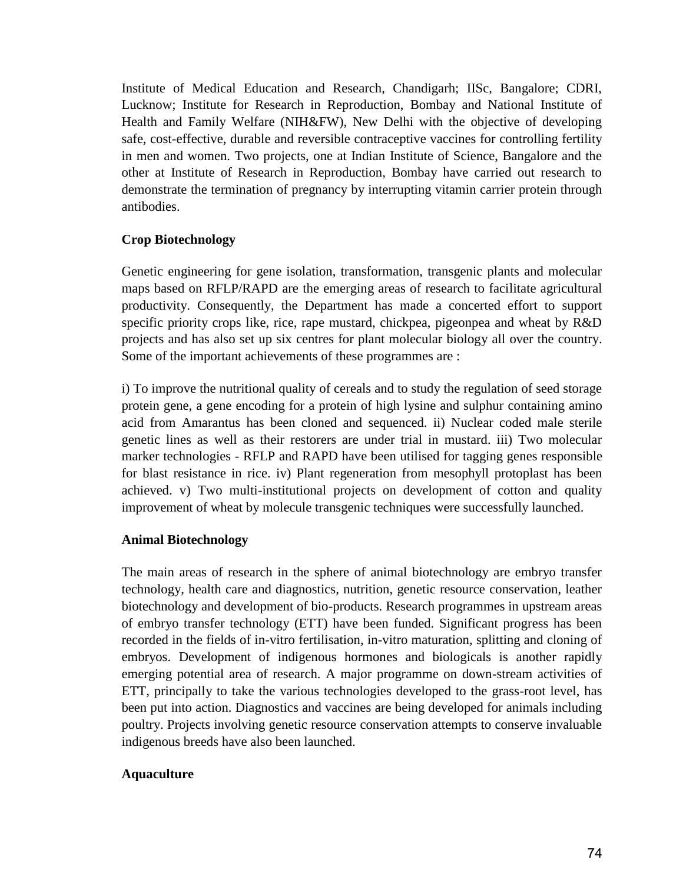Institute of Medical Education and Research, Chandigarh; IISc, Bangalore; CDRI, Lucknow; Institute for Research in Reproduction, Bombay and National Institute of Health and Family Welfare (NIH&FW), New Delhi with the objective of developing safe, cost-effective, durable and reversible contraceptive vaccines for controlling fertility in men and women. Two projects, one at Indian Institute of Science, Bangalore and the other at Institute of Research in Reproduction, Bombay have carried out research to demonstrate the termination of pregnancy by interrupting vitamin carrier protein through antibodies.

#### **Crop Biotechnology**

Genetic engineering for gene isolation, transformation, transgenic plants and molecular maps based on RFLP/RAPD are the emerging areas of research to facilitate agricultural productivity. Consequently, the Department has made a concerted effort to support specific priority crops like, rice, rape mustard, chickpea, pigeonpea and wheat by R&D projects and has also set up six centres for plant molecular biology all over the country. Some of the important achievements of these programmes are :

i) To improve the nutritional quality of cereals and to study the regulation of seed storage protein gene, a gene encoding for a protein of high lysine and sulphur containing amino acid from Amarantus has been cloned and sequenced. ii) Nuclear coded male sterile genetic lines as well as their restorers are under trial in mustard. iii) Two molecular marker technologies - RFLP and RAPD have been utilised for tagging genes responsible for blast resistance in rice. iv) Plant regeneration from mesophyll protoplast has been achieved. v) Two multi-institutional projects on development of cotton and quality improvement of wheat by molecule transgenic techniques were successfully launched.

#### **Animal Biotechnology**

The main areas of research in the sphere of animal biotechnology are embryo transfer technology, health care and diagnostics, nutrition, genetic resource conservation, leather biotechnology and development of bio-products. Research programmes in upstream areas of embryo transfer technology (ETT) have been funded. Significant progress has been recorded in the fields of in-vitro fertilisation, in-vitro maturation, splitting and cloning of embryos. Development of indigenous hormones and biologicals is another rapidly emerging potential area of research. A major programme on down-stream activities of ETT, principally to take the various technologies developed to the grass-root level, has been put into action. Diagnostics and vaccines are being developed for animals including poultry. Projects involving genetic resource conservation attempts to conserve invaluable indigenous breeds have also been launched.

#### **Aquaculture**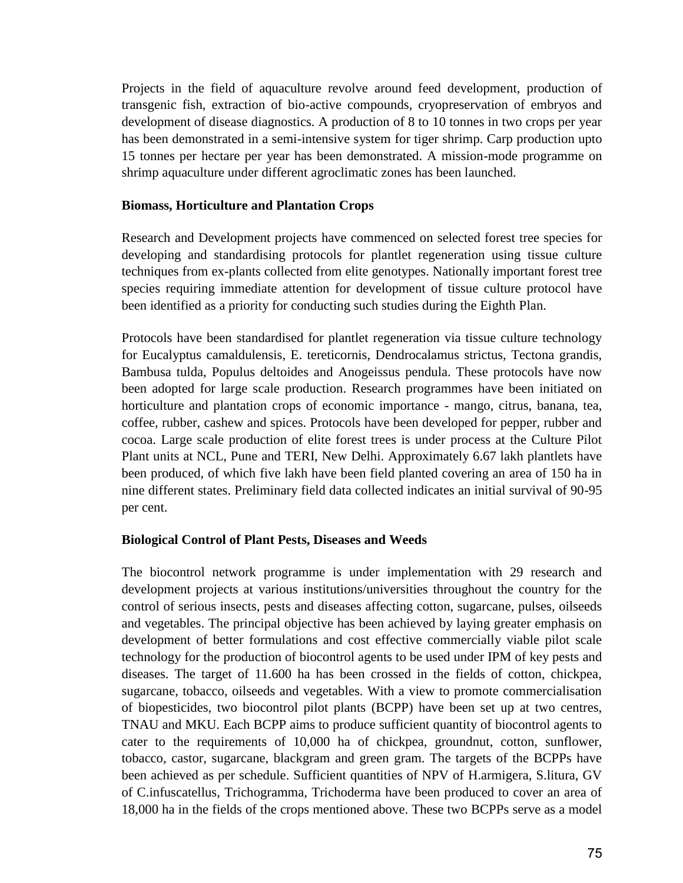Projects in the field of aquaculture revolve around feed development, production of transgenic fish, extraction of bio-active compounds, cryopreservation of embryos and development of disease diagnostics. A production of 8 to 10 tonnes in two crops per year has been demonstrated in a semi-intensive system for tiger shrimp. Carp production upto 15 tonnes per hectare per year has been demonstrated. A mission-mode programme on shrimp aquaculture under different agroclimatic zones has been launched.

#### **Biomass, Horticulture and Plantation Crops**

Research and Development projects have commenced on selected forest tree species for developing and standardising protocols for plantlet regeneration using tissue culture techniques from ex-plants collected from elite genotypes. Nationally important forest tree species requiring immediate attention for development of tissue culture protocol have been identified as a priority for conducting such studies during the Eighth Plan.

Protocols have been standardised for plantlet regeneration via tissue culture technology for Eucalyptus camaldulensis, E. tereticornis, Dendrocalamus strictus, Tectona grandis, Bambusa tulda, Populus deltoides and Anogeissus pendula. These protocols have now been adopted for large scale production. Research programmes have been initiated on horticulture and plantation crops of economic importance - mango, citrus, banana, tea, coffee, rubber, cashew and spices. Protocols have been developed for pepper, rubber and cocoa. Large scale production of elite forest trees is under process at the Culture Pilot Plant units at NCL, Pune and TERI, New Delhi. Approximately 6.67 lakh plantlets have been produced, of which five lakh have been field planted covering an area of 150 ha in nine different states. Preliminary field data collected indicates an initial survival of 90-95 per cent.

#### **Biological Control of Plant Pests, Diseases and Weeds**

The biocontrol network programme is under implementation with 29 research and development projects at various institutions/universities throughout the country for the control of serious insects, pests and diseases affecting cotton, sugarcane, pulses, oilseeds and vegetables. The principal objective has been achieved by laying greater emphasis on development of better formulations and cost effective commercially viable pilot scale technology for the production of biocontrol agents to be used under IPM of key pests and diseases. The target of 11.600 ha has been crossed in the fields of cotton, chickpea, sugarcane, tobacco, oilseeds and vegetables. With a view to promote commercialisation of biopesticides, two biocontrol pilot plants (BCPP) have been set up at two centres, TNAU and MKU. Each BCPP aims to produce sufficient quantity of biocontrol agents to cater to the requirements of 10,000 ha of chickpea, groundnut, cotton, sunflower, tobacco, castor, sugarcane, blackgram and green gram. The targets of the BCPPs have been achieved as per schedule. Sufficient quantities of NPV of H.armigera, S.litura, GV of C.infuscatellus, Trichogramma, Trichoderma have been produced to cover an area of 18,000 ha in the fields of the crops mentioned above. These two BCPPs serve as a model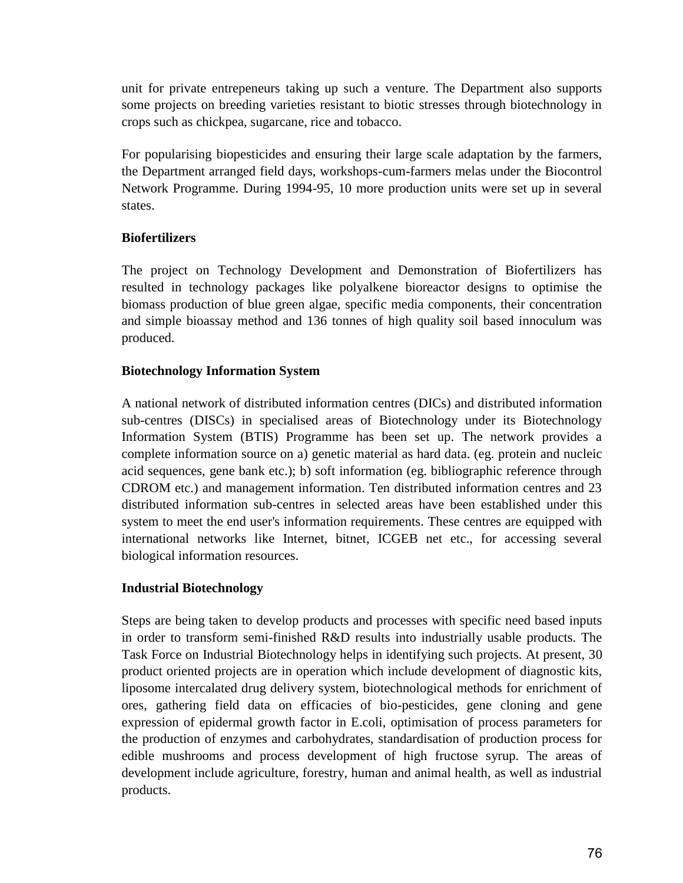unit for private entrepeneurs taking up such a venture. The Department also supports some projects on breeding varieties resistant to biotic stresses through biotechnology in crops such as chickpea, sugarcane, rice and tobacco.

For popularising biopesticides and ensuring their large scale adaptation by the farmers, the Department arranged field days, workshops-cum-farmers melas under the Biocontrol Network Programme. During 1994-95, 10 more production units were set up in several states.

### **Biofertilizers**

The project on Technology Development and Demonstration of Biofertilizers has resulted in technology packages like polyalkene bioreactor designs to optimise the biomass production of blue green algae, specific media components, their concentration and simple bioassay method and 136 tonnes of high quality soil based innoculum was produced.

### **Biotechnology Information System**

A national network of distributed information centres (DICs) and distributed information sub-centres (DISCs) in specialised areas of Biotechnology under its Biotechnology Information System (BTIS) Programme has been set up. The network provides a complete information source on a) genetic material as hard data. (eg. protein and nucleic acid sequences, gene bank etc.); b) soft information (eg. bibliographic reference through CDROM etc.) and management information. Ten distributed information centres and 23 distributed information sub-centres in selected areas have been established under this system to meet the end user's information requirements. These centres are equipped with international networks like Internet, bitnet, ICGEB net etc., for accessing several biological information resources.

### **Industrial Biotechnology**

Steps are being taken to develop products and processes with specific need based inputs in order to transform semi-finished R&D results into industrially usable products. The Task Force on Industrial Biotechnology helps in identifying such projects. At present, 30 product oriented projects are in operation which include development of diagnostic kits, liposome intercalated drug delivery system, biotechnological methods for enrichment of ores, gathering field data on efficacies of bio-pesticides, gene cloning and gene expression of epidermal growth factor in E.coli, optimisation of process parameters for the production of enzymes and carbohydrates, standardisation of production process for edible mushrooms and process development of high fructose syrup. The areas of development include agriculture, forestry, human and animal health, as well as industrial products.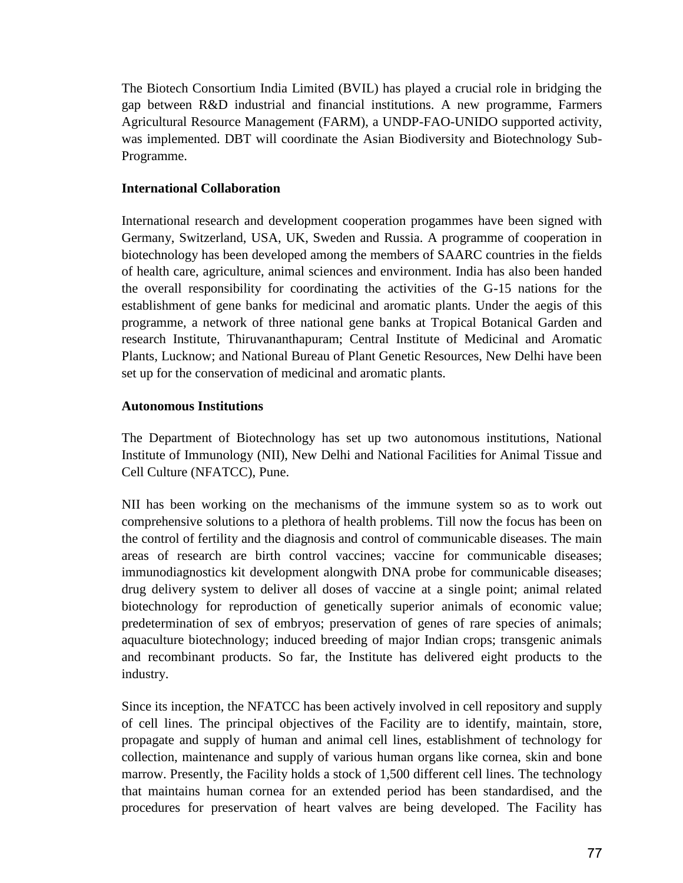The Biotech Consortium India Limited (BVIL) has played a crucial role in bridging the gap between R&D industrial and financial institutions. A new programme, Farmers Agricultural Resource Management (FARM), a UNDP-FAO-UNIDO supported activity, was implemented. DBT will coordinate the Asian Biodiversity and Biotechnology Sub-Programme.

#### **International Collaboration**

International research and development cooperation progammes have been signed with Germany, Switzerland, USA, UK, Sweden and Russia. A programme of cooperation in biotechnology has been developed among the members of SAARC countries in the fields of health care, agriculture, animal sciences and environment. India has also been handed the overall responsibility for coordinating the activities of the G-15 nations for the establishment of gene banks for medicinal and aromatic plants. Under the aegis of this programme, a network of three national gene banks at Tropical Botanical Garden and research Institute, Thiruvananthapuram; Central Institute of Medicinal and Aromatic Plants, Lucknow; and National Bureau of Plant Genetic Resources, New Delhi have been set up for the conservation of medicinal and aromatic plants.

#### **Autonomous Institutions**

The Department of Biotechnology has set up two autonomous institutions, National Institute of Immunology (NII), New Delhi and National Facilities for Animal Tissue and Cell Culture (NFATCC), Pune.

NII has been working on the mechanisms of the immune system so as to work out comprehensive solutions to a plethora of health problems. Till now the focus has been on the control of fertility and the diagnosis and control of communicable diseases. The main areas of research are birth control vaccines; vaccine for communicable diseases; immunodiagnostics kit development alongwith DNA probe for communicable diseases; drug delivery system to deliver all doses of vaccine at a single point; animal related biotechnology for reproduction of genetically superior animals of economic value; predetermination of sex of embryos; preservation of genes of rare species of animals; aquaculture biotechnology; induced breeding of major Indian crops; transgenic animals and recombinant products. So far, the Institute has delivered eight products to the industry.

Since its inception, the NFATCC has been actively involved in cell repository and supply of cell lines. The principal objectives of the Facility are to identify, maintain, store, propagate and supply of human and animal cell lines, establishment of technology for collection, maintenance and supply of various human organs like cornea, skin and bone marrow. Presently, the Facility holds a stock of 1,500 different cell lines. The technology that maintains human cornea for an extended period has been standardised, and the procedures for preservation of heart valves are being developed. The Facility has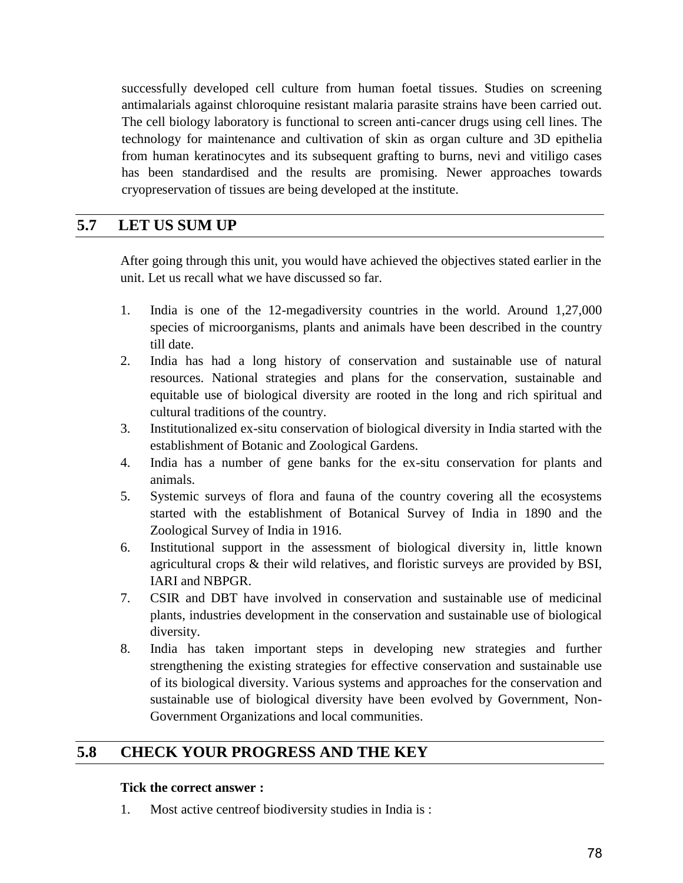successfully developed cell culture from human foetal tissues. Studies on screening antimalarials against chloroquine resistant malaria parasite strains have been carried out. The cell biology laboratory is functional to screen anti-cancer drugs using cell lines. The technology for maintenance and cultivation of skin as organ culture and 3D epithelia from human keratinocytes and its subsequent grafting to burns, nevi and vitiligo cases has been standardised and the results are promising. Newer approaches towards cryopreservation of tissues are being developed at the institute.

## **5.7 LET US SUM UP**

After going through this unit, you would have achieved the objectives stated earlier in the unit. Let us recall what we have discussed so far.

- 1. India is one of the 12-megadiversity countries in the world. Around 1,27,000 species of microorganisms, plants and animals have been described in the country till date.
- 2. India has had a long history of conservation and sustainable use of natural resources. National strategies and plans for the conservation, sustainable and equitable use of biological diversity are rooted in the long and rich spiritual and cultural traditions of the country.
- 3. Institutionalized ex-situ conservation of biological diversity in India started with the establishment of Botanic and Zoological Gardens.
- 4. India has a number of gene banks for the ex-situ conservation for plants and animals.
- 5. Systemic surveys of flora and fauna of the country covering all the ecosystems started with the establishment of Botanical Survey of India in 1890 and the Zoological Survey of India in 1916.
- 6. Institutional support in the assessment of biological diversity in, little known agricultural crops & their wild relatives, and floristic surveys are provided by BSI, IARI and NBPGR.
- 7. CSIR and DBT have involved in conservation and sustainable use of medicinal plants, industries development in the conservation and sustainable use of biological diversity.
- 8. India has taken important steps in developing new strategies and further strengthening the existing strategies for effective conservation and sustainable use of its biological diversity. Various systems and approaches for the conservation and sustainable use of biological diversity have been evolved by Government, Non-Government Organizations and local communities.

## **5.8 CHECK YOUR PROGRESS AND THE KEY**

#### **Tick the correct answer :**

1. Most active centreof biodiversity studies in India is :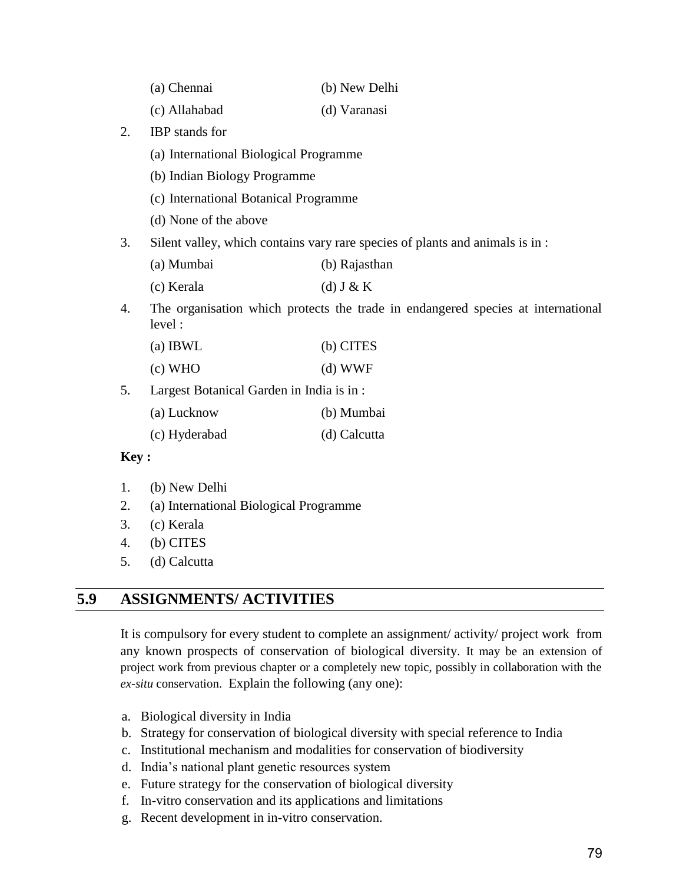| (a) Chennai | (b) New Delhi |
|-------------|---------------|
|-------------|---------------|

- (c) Allahabad (d) Varanasi
- 2. IBP stands for
	- (a) International Biological Programme
	- (b) Indian Biology Programme
	- (c) International Botanical Programme
	- (d) None of the above
- 3. Silent valley, which contains vary rare species of plants and animals is in :
	- (a) Mumbai (b) Rajasthan
	- (c) Kerala (d) J & K
- 4. The organisation which protects the trade in endangered species at international level :

| (b) CITES |
|-----------|
|           |

- (c) WHO (d) WWF
- 5. Largest Botanical Garden in India is in :

| (a) Lucknow | (b) Mumbai |
|-------------|------------|
|             |            |

(c) Hyderabad (d) Calcutta

#### **Key :**

- 1. (b) New Delhi
- 2. (a) International Biological Programme
- 3. (c) Kerala
- 4. (b) CITES
- 5. (d) Calcutta

### **5.9 ASSIGNMENTS/ ACTIVITIES**

It is compulsory for every student to complete an assignment/ activity/ project work from any known prospects of conservation of biological diversity. It may be an extension of project work from previous chapter or a completely new topic, possibly in collaboration with the *ex-situ* conservation. Explain the following (any one):

- a. Biological diversity in India
- b. Strategy for conservation of biological diversity with special reference to India
- c. Institutional mechanism and modalities for conservation of biodiversity
- d. India"s national plant genetic resources system
- e. Future strategy for the conservation of biological diversity
- f. In-vitro conservation and its applications and limitations
- g. Recent development in in-vitro conservation.